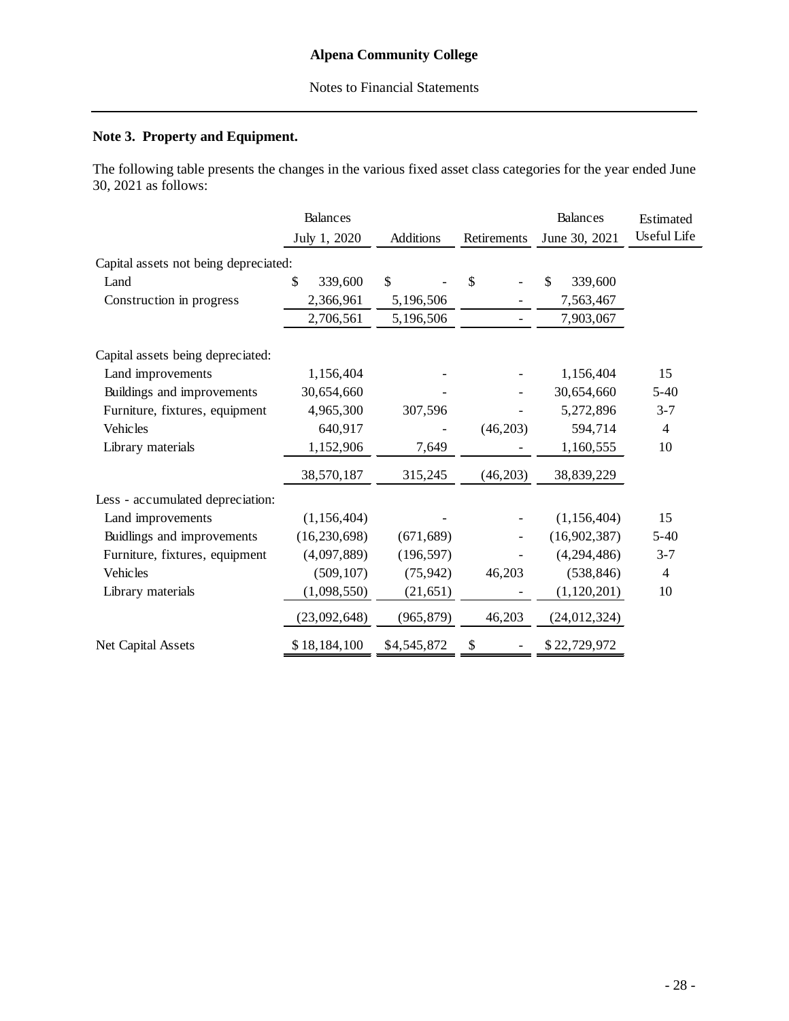# **Note 3. Property and Equipment.**

 The following table presents the changes in the various fixed asset class categories for the year ended June 30, 2021 as follows:

|                                       | <b>Balances</b> |                  |               | <b>Balances</b>          | Estimated      |
|---------------------------------------|-----------------|------------------|---------------|--------------------------|----------------|
|                                       | July 1, 2020    | <b>Additions</b> | Retirements   | June 30, 2021            | Useful Life    |
| Capital assets not being depreciated: |                 |                  |               |                          |                |
| Land                                  | 339,600<br>\$   | \$               | $\mathcal{S}$ | $\mathcal{S}$<br>339,600 |                |
| Construction in progress              | 2,366,961       | 5,196,506        |               | 7,563,467                |                |
|                                       | 2,706,561       | 5,196,506        |               | 7,903,067                |                |
| Capital assets being depreciated:     |                 |                  |               |                          |                |
| Land improvements                     | 1,156,404       |                  |               | 1,156,404                | 15             |
| Buildings and improvements            | 30,654,660      |                  |               | 30,654,660               | $5 - 40$       |
| Furniture, fixtures, equipment        | 4,965,300       | 307,596          |               | 5,272,896                | $3 - 7$        |
| <b>Vehicles</b>                       | 640,917         |                  | (46,203)      | 594,714                  | $\overline{4}$ |
| Library materials                     | 1,152,906       | 7,649            |               | 1,160,555                | 10             |
|                                       | 38,570,187      | 315,245          | (46,203)      | 38,839,229               |                |
| Less - accumulated depreciation:      |                 |                  |               |                          |                |
| Land improvements                     | (1, 156, 404)   |                  |               | (1, 156, 404)            | 15             |
| Buidlings and improvements            | (16, 230, 698)  | (671, 689)       |               | (16,902,387)             | $5 - 40$       |
| Furniture, fixtures, equipment        | (4,097,889)     | (196, 597)       |               | (4,294,486)              | $3 - 7$        |
| <b>Vehicles</b>                       | (509, 107)      | (75, 942)        | 46,203        | (538, 846)               | $\overline{4}$ |
| Library materials                     | (1,098,550)     | (21, 651)        |               | (1,120,201)              | 10             |
|                                       | (23,092,648)    | (965, 879)       | 46,203        | (24, 012, 324)           |                |
| <b>Net Capital Assets</b>             | \$18,184,100    | \$4,545,872      | \$            | \$22,729,972             |                |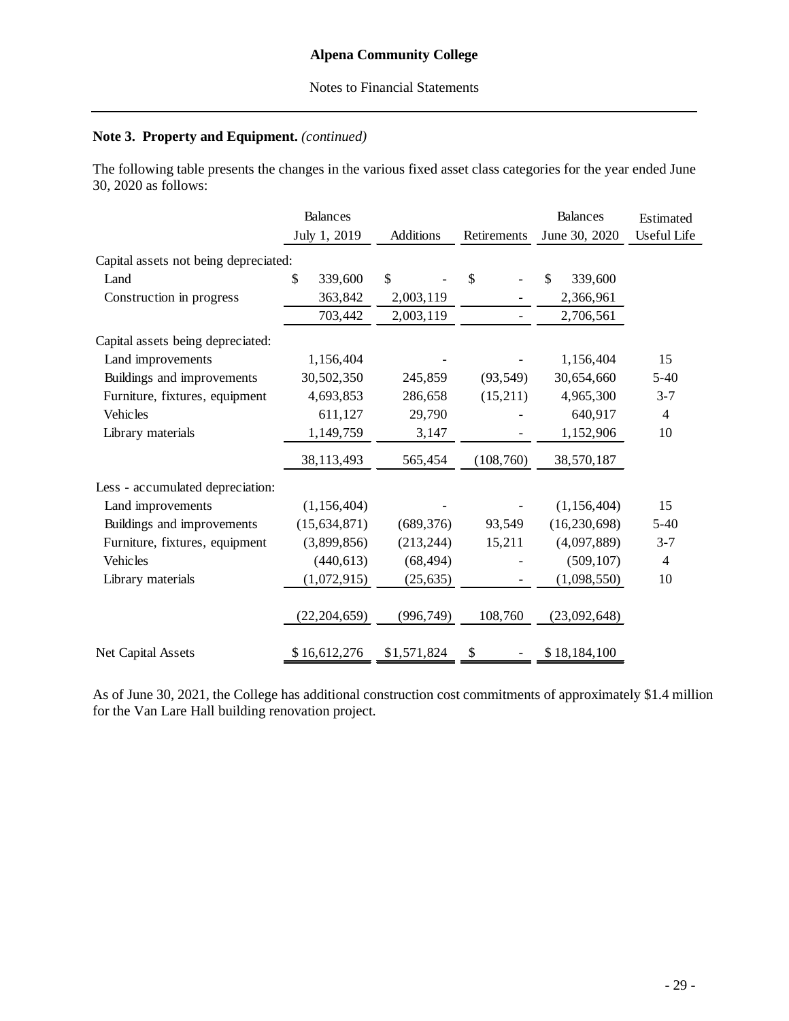# **Note 3. Property and Equipment.** *(continued)*

 The following table presents the changes in the various fixed asset class categories for the year ended June 30, 2020 as follows:

|                                       | <b>Balances</b> |                  |             | <b>Balances</b>          | Estimated      |
|---------------------------------------|-----------------|------------------|-------------|--------------------------|----------------|
|                                       | July 1, 2019    | <b>Additions</b> | Retirements | June 30, 2020            | Useful Life    |
| Capital assets not being depreciated: |                 |                  |             |                          |                |
| Land                                  | 339,600<br>\$   | \$               | \$          | $\mathcal{S}$<br>339,600 |                |
| Construction in progress              | 363,842         | 2,003,119        |             | 2,366,961                |                |
|                                       | 703,442         | 2,003,119        |             | 2,706,561                |                |
| Capital assets being depreciated:     |                 |                  |             |                          |                |
| Land improvements                     | 1,156,404       |                  |             | 1,156,404                | 15             |
| Buildings and improvements            | 30,502,350      | 245,859          | (93, 549)   | 30,654,660               | $5-40$         |
| Furniture, fixtures, equipment        | 4,693,853       | 286,658          | (15,211)    | 4,965,300                | $3 - 7$        |
| <b>Vehicles</b>                       | 611,127         | 29,790           |             | 640,917                  | $\overline{4}$ |
| Library materials                     | 1,149,759       | 3,147            |             | 1,152,906                | 10             |
|                                       | 38,113,493      | 565,454          | (108, 760)  | 38,570,187               |                |
| Less - accumulated depreciation:      |                 |                  |             |                          |                |
| Land improvements                     | (1, 156, 404)   |                  |             | (1, 156, 404)            | 15             |
| Buildings and improvements            | (15, 634, 871)  | (689, 376)       | 93,549      | (16, 230, 698)           | $5-40$         |
| Furniture, fixtures, equipment        | (3,899,856)     | (213, 244)       | 15,211      | (4,097,889)              | $3 - 7$        |
| <b>Vehicles</b>                       | (440, 613)      | (68, 494)        |             | (509, 107)               | $\overline{4}$ |
| Library materials                     | (1,072,915)     | (25, 635)        |             | (1,098,550)              | 10             |
|                                       | (22, 204, 659)  | (996, 749)       | 108,760     | (23,092,648)             |                |
| Net Capital Assets                    | \$16,612,276    | \$1,571,824      | \$          | \$18,184,100             |                |

 As of June 30, 2021, the College has additional construction cost commitments of approximately \$1.4 million for the Van Lare Hall building renovation project.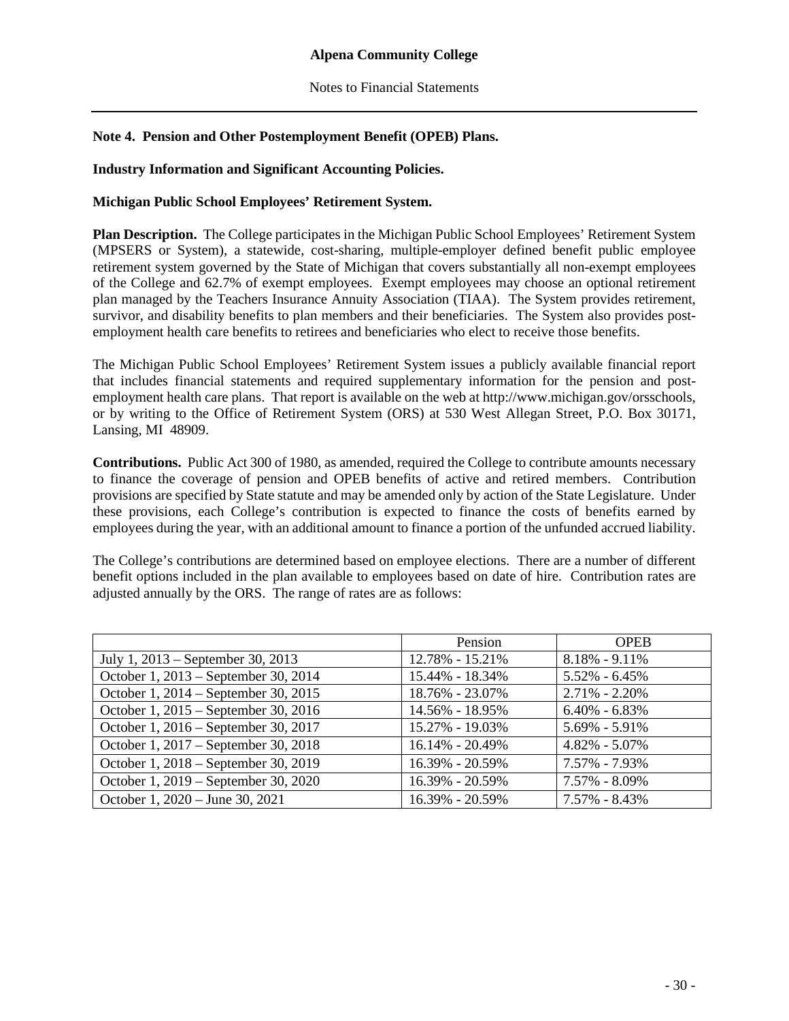# Notes to Financial Statements

# **Note 4. Pension and Other Postemployment Benefit (OPEB) Plans.**

### **Industry Information and Significant Accounting Policies.**

### **Michigan Public School Employees' Retirement System.**

**Michigan Public School Employees' Retirement System.**<br>**Plan Description.** The College participates in the Michigan Public School Employees' Retirement System retirement system governed by the State of Michigan that covers substantially all non-exempt employees of the College and 62.7% of exempt employees. Exempt employees may choose an optional retirement (MPSERS or System), a statewide, cost-sharing, multiple-employer defined benefit public employee plan managed by the Teachers Insurance Annuity Association (TIAA). The System provides retirement, survivor, and disability benefits to plan members and their beneficiaries. The System also provides postemployment health care benefits to retirees and beneficiaries who elect to receive those benefits.

 The Michigan Public School Employees' Retirement System issues a publicly available financial report or by writing to the Office of Retirement System (ORS) at 530 West Allegan Street, P.O. Box 30171, that includes financial statements and required supplementary information for the pension and postemployment health care plans. That report is available on the web at http://www.michigan.gov/orsschools, Lansing, MI 48909.

 **Contributions.** Public Act 300 of 1980, as amended, required the College to contribute amounts necessary provisions are specified by State statute and may be amended only by action of the State Legislature. Under employees during the year, with an additional amount to finance a portion of the unfunded accrued liability. to finance the coverage of pension and OPEB benefits of active and retired members. Contribution these provisions, each College's contribution is expected to finance the costs of benefits earned by

 benefit options included in the plan available to employees based on date of hire. Contribution rates are The College's contributions are determined based on employee elections. There are a number of different adjusted annually by the ORS. The range of rates are as follows:

|                                      | Pension         | <b>OPEB</b>       |
|--------------------------------------|-----------------|-------------------|
| July 1, 2013 – September 30, 2013    | 12.78% - 15.21% | $8.18\% - 9.11\%$ |
| October 1, 2013 – September 30, 2014 | 15.44% - 18.34% | $5.52\% - 6.45\%$ |
| October 1, 2014 – September 30, 2015 | 18.76% - 23.07% | $2.71\% - 2.20\%$ |
| October 1, 2015 – September 30, 2016 | 14.56% - 18.95% | $6.40\% - 6.83\%$ |
| October 1, 2016 – September 30, 2017 | 15.27% - 19.03% | 5.69% - 5.91%     |
| October 1, 2017 – September 30, 2018 | 16.14% - 20.49% | $4.82\% - 5.07\%$ |
| October 1, 2018 – September 30, 2019 | 16.39% - 20.59% | 7.57% - 7.93%     |
| October 1, 2019 – September 30, 2020 | 16.39% - 20.59% | 7.57% - 8.09%     |
| October 1, 2020 – June 30, 2021      | 16.39% - 20.59% | 7.57% - 8.43%     |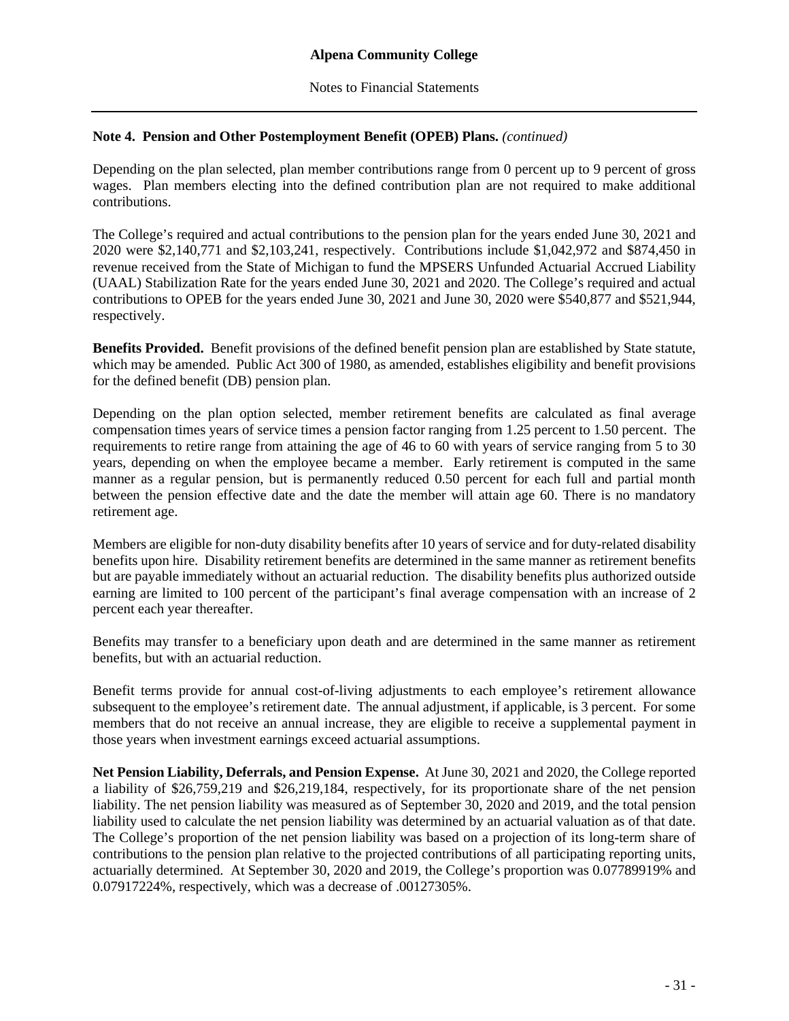wages. Plan members electing into the defined contribution plan are not required to make additional Depending on the plan selected, plan member contributions range from 0 percent up to 9 percent of gross contributions.

 The College's required and actual contributions to the pension plan for the years ended June 30, 2021 and (UAAL) Stabilization Rate for the years ended June 30, 2021 and 2020. The College's required and actual contributions to OPEB for the years ended June 30, 2021 and June 30, 2020 were \$540,877 and \$521,944, 2020 were \$2,140,771 and \$2,103,241, respectively. Contributions include \$1,042,972 and \$874,450 in revenue received from the State of Michigan to fund the MPSERS Unfunded Actuarial Accrued Liability respectively.

 **Benefits Provided.** Benefit provisions of the defined benefit pension plan are established by State statute, which may be amended. Public Act 300 of 1980, as amended, establishes eligibility and benefit provisions for the defined benefit (DB) pension plan.

 Depending on the plan option selected, member retirement benefits are calculated as final average requirements to retire range from attaining the age of 46 to 60 with years of service ranging from 5 to 30 years, depending on when the employee became a member. Early retirement is computed in the same between the pension effective date and the date the member will attain age 60. There is no mandatory compensation times years of service times a pension factor ranging from 1.25 percent to 1.50 percent. The manner as a regular pension, but is permanently reduced 0.50 percent for each full and partial month retirement age.

 Members are eligible for non-duty disability benefits after 10 years of service and for duty-related disability earning are limited to 100 percent of the participant's final average compensation with an increase of 2 benefits upon hire. Disability retirement benefits are determined in the same manner as retirement benefits but are payable immediately without an actuarial reduction. The disability benefits plus authorized outside percent each year thereafter.

Benefits may transfer to a beneficiary upon death and are determined in the same manner as retirement benefits, but with an actuarial reduction.

 Benefit terms provide for annual cost-of-living adjustments to each employee's retirement allowance subsequent to the employee's retirement date. The annual adjustment, if applicable, is 3 percent. For some members that do not receive an annual increase, they are eligible to receive a supplemental payment in those years when investment earnings exceed actuarial assumptions.

 **Net Pension Liability, Deferrals, and Pension Expense.** At June 30, 2021 and 2020, the College reported liability used to calculate the net pension liability was determined by an actuarial valuation as of that date. a liability of \$26,759,219 and \$26,219,184, respectively, for its proportionate share of the net pension liability. The net pension liability was measured as of September 30, 2020 and 2019, and the total pension The College's proportion of the net pension liability was based on a projection of its long-term share of contributions to the pension plan relative to the projected contributions of all participating reporting units, actuarially determined. At September 30, 2020 and 2019, the College's proportion was 0.07789919% and 0.07917224%, respectively, which was a decrease of .00127305%.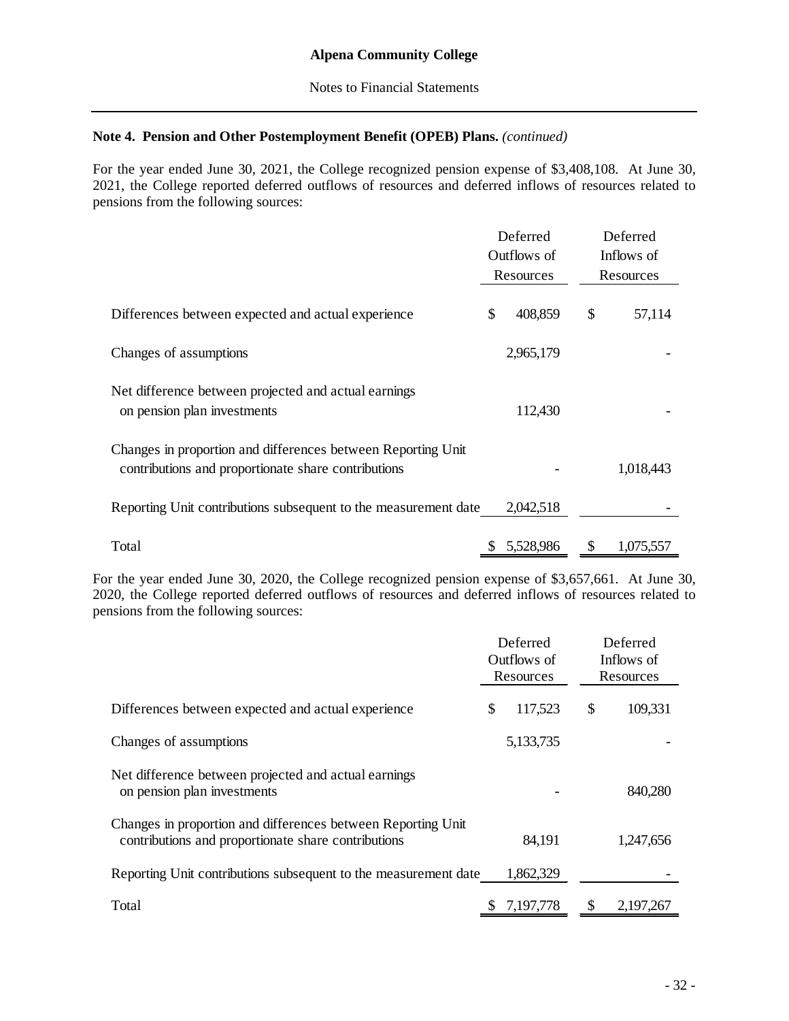2021, the College reported deferred outflows of resources and deferred inflows of resources related to For the year ended June 30, 2021, the College recognized pension expense of \$3,408,108. At June 30, pensions from the following sources:

|                                                                                                                     | Deferred      |           | Deferred   |
|---------------------------------------------------------------------------------------------------------------------|---------------|-----------|------------|
|                                                                                                                     | Outflows of   |           | Inflows of |
|                                                                                                                     | Resources     | Resources |            |
| Differences between expected and actual experience                                                                  | \$<br>408,859 | \$        | 57,114     |
| Changes of assumptions                                                                                              | 2,965,179     |           |            |
| Net difference between projected and actual earnings<br>on pension plan investments                                 | 112,430       |           |            |
| Changes in proportion and differences between Reporting Unit<br>contributions and proportionate share contributions |               |           | 1,018,443  |
| Reporting Unit contributions subsequent to the measurement date                                                     | 2,042,518     |           |            |
| Total                                                                                                               | 5,528,986     | \$        | 1,075,557  |

 2020, the College reported deferred outflows of resources and deferred inflows of resources related to For the year ended June 30, 2020, the College recognized pension expense of \$3,657,661. At June 30, pensions from the following sources:

|                                                                                                                     | Deferred<br>Outflows of<br>Resources |           | Deferred<br>Inflows of<br>Resources |           |
|---------------------------------------------------------------------------------------------------------------------|--------------------------------------|-----------|-------------------------------------|-----------|
| Differences between expected and actual experience                                                                  | \$                                   | 117,523   | \$                                  | 109,331   |
| Changes of assumptions                                                                                              |                                      | 5,133,735 |                                     |           |
| Net difference between projected and actual earnings<br>on pension plan investments                                 |                                      |           |                                     | 840,280   |
| Changes in proportion and differences between Reporting Unit<br>contributions and proportionate share contributions |                                      | 84,191    |                                     | 1,247,656 |
| Reporting Unit contributions subsequent to the measurement date                                                     |                                      | 1,862,329 |                                     |           |
| Total                                                                                                               |                                      | 7,197,778 | \$                                  | 2,197,267 |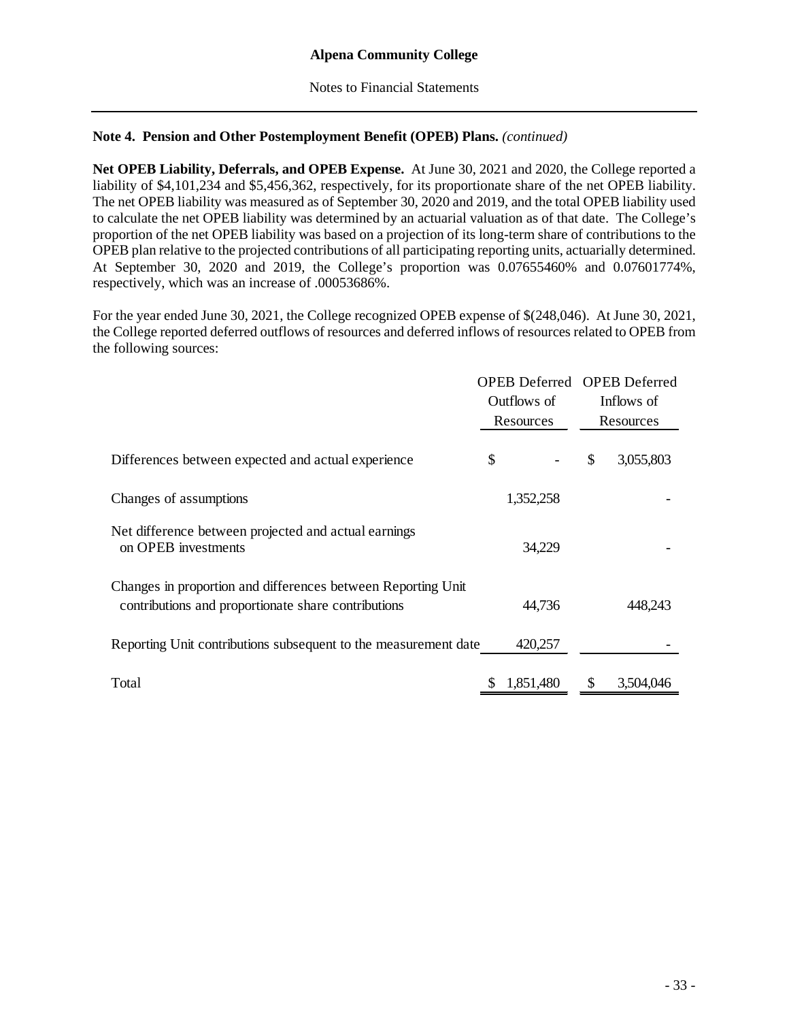Notes to Financial Statements

### **Note 4. Pension and Other Postemployment Benefit (OPEB) Plans.** *(continued)*

liability of \$4,101,234 and \$5,456,362, respectively, for its proportionate share of the net OPEB liability. proportion of the net OPEB liability was based on a projection of its long-term share of contributions to the OPEB plan relative to the projected contributions of all participating reporting units, actuarially determined. **Net OPEB Liability, Deferrals, and OPEB Expense.** At June 30, 2021 and 2020, the College reported a The net OPEB liability was measured as of September 30, 2020 and 2019, and the total OPEB liability used to calculate the net OPEB liability was determined by an actuarial valuation as of that date. The College's At September 30, 2020 and 2019, the College's proportion was 0.07655460% and 0.07601774%, respectively, which was an increase of .00053686%.

 the College reported deferred outflows of resources and deferred inflows of resources related to OPEB from For the year ended June 30, 2021, the College recognized OPEB expense of \$(248,046). At June 30, 2021, the following sources:

|                                                                                                                     |             | <b>OPEB Deferred OPEB Deferred</b> |
|---------------------------------------------------------------------------------------------------------------------|-------------|------------------------------------|
|                                                                                                                     | Outflows of | Inflows of                         |
|                                                                                                                     | Resources   | Resources                          |
| Differences between expected and actual experience                                                                  | \$          | \$<br>3,055,803                    |
| Changes of assumptions                                                                                              | 1,352,258   |                                    |
| Net difference between projected and actual earnings<br>on OPEB investments                                         | 34,229      |                                    |
| Changes in proportion and differences between Reporting Unit<br>contributions and proportionate share contributions | 44,736      | 448,243                            |
| Reporting Unit contributions subsequent to the measurement date                                                     | 420,257     |                                    |
| Total                                                                                                               | 1,851,480   | 3,504,046                          |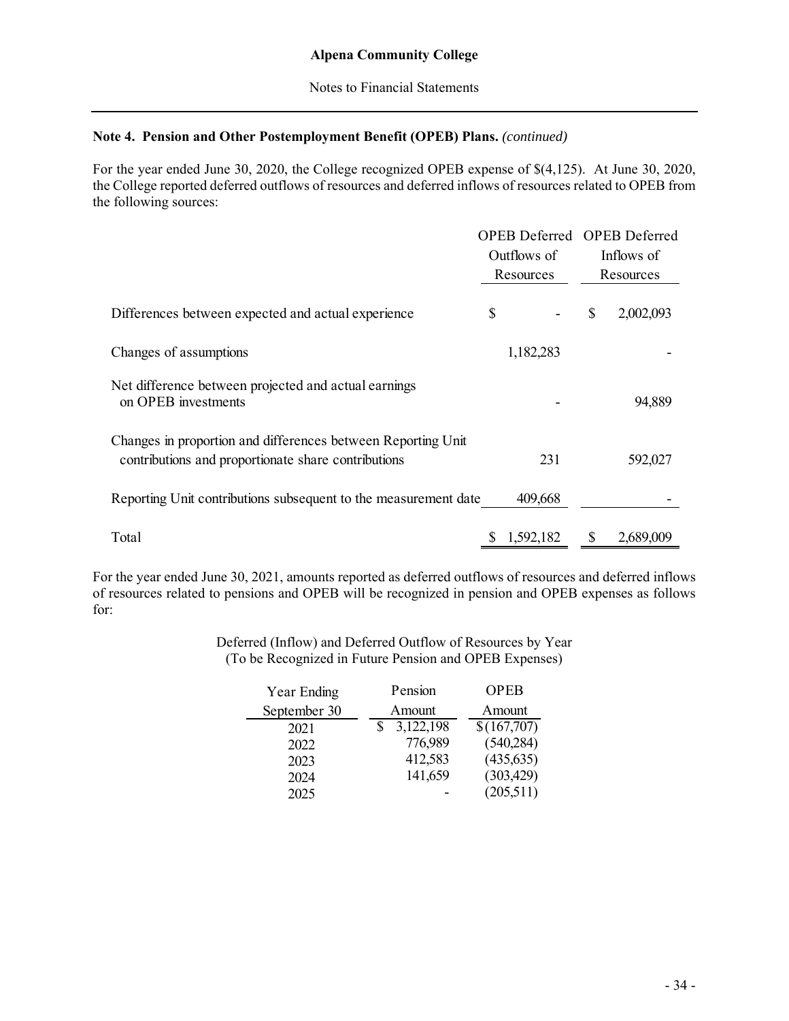For the year ended June 30, 2020, the College recognized OPEB expense of \$(4,125). At June 30, 2020, the College reported deferred outflows of resources and deferred inflows of resources related to OPEB from the following sources:

|                                                                                                                     |           | <b>OPEB Deferred OPEB Deferred</b><br>Outflows of |           | Inflows of |
|---------------------------------------------------------------------------------------------------------------------|-----------|---------------------------------------------------|-----------|------------|
|                                                                                                                     | Resources |                                                   | Resources |            |
| Differences between expected and actual experience                                                                  | \$        |                                                   | \$        | 2,002,093  |
| Changes of assumptions                                                                                              |           | 1,182,283                                         |           |            |
| Net difference between projected and actual earnings<br>on OPEB investments                                         |           |                                                   |           | 94,889     |
| Changes in proportion and differences between Reporting Unit<br>contributions and proportionate share contributions |           | 231                                               |           | 592,027    |
| Reporting Unit contributions subsequent to the measurement date                                                     |           | 409,668                                           |           |            |
| Total                                                                                                               |           | 1,592,182                                         | \$        | 2,689,009  |

For the year ended June 30, 2021, amounts reported as deferred outflows of resources and deferred inflows of resources related to pensions and OPEB will be recognized in pension and OPEB expenses as follows for:

> Deferred (Inflow) and Deferred Outflow of Resources by Year (To be Recognized in Future Pension and OPEB Expenses)

| Year Ending  | Pension   | <b>OPEB</b> |
|--------------|-----------|-------------|
| September 30 | Amount    | Amount      |
| 2021         | 3,122,198 | \$(167,707) |
| 2022         | 776,989   | (540, 284)  |
| 2023         | 412,583   | (435, 635)  |
| 2024         | 141,659   | (303, 429)  |
| 2025         |           | (205,511)   |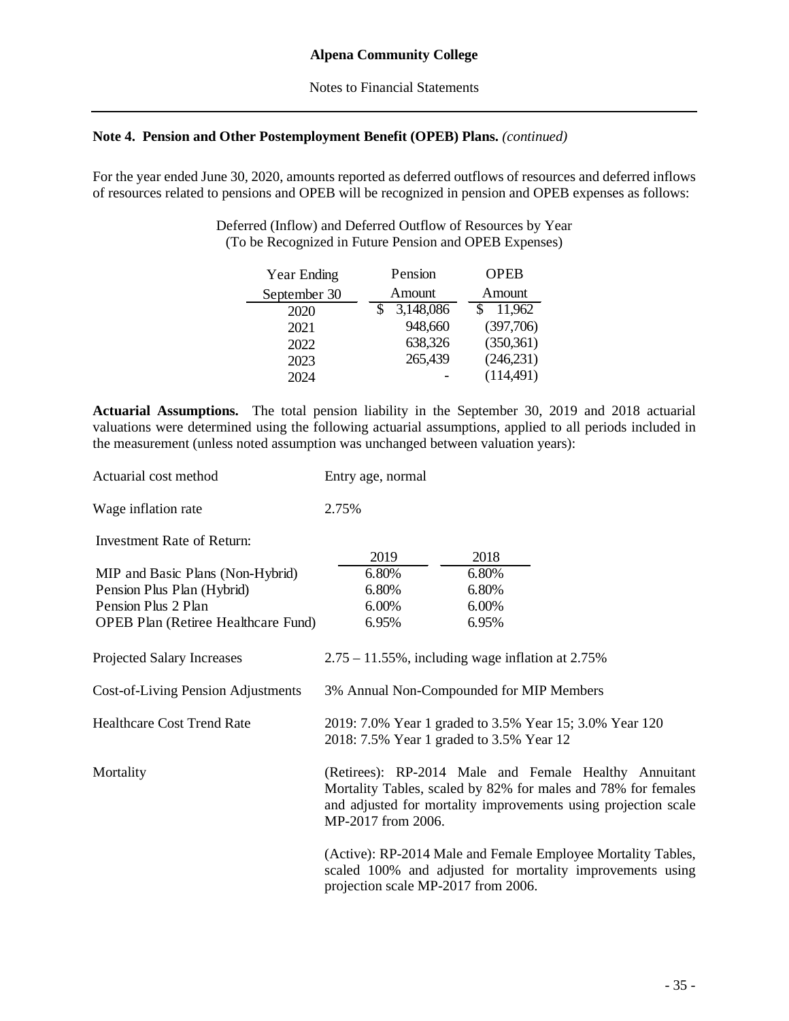Notes to Financial Statements

# **Note 4. Pension and Other Postemployment Benefit (OPEB) Plans.** *(continued)*

 For the year ended June 30, 2020, amounts reported as deferred outflows of resources and deferred inflows of resources related to pensions and OPEB will be recognized in pension and OPEB expenses as follows:

> Deferred (Inflow) and Deferred Outflow of Resources by Year (To be Recognized in Future Pension and OPEB Expenses)

| Year Ending  | Pension   | <b>OPEB</b> |
|--------------|-----------|-------------|
| September 30 | Amount    | Amount      |
| 2020         | 3,148,086 | 11,962      |
| 2021         | 948,660   | (397,706)   |
| 2022         | 638,326   | (350, 361)  |
| 2023         | 265,439   | (246, 231)  |
| 2024         |           | (114, 491)  |

 **Actuarial Assumptions.** The total pension liability in the September 30, 2019 and 2018 actuarial valuations were determined using the following actuarial assumptions, applied to all periods included in the measurement (unless noted assumption was unchanged between valuation years):

| Actuarial cost method                      | Entry age, normal                   |                                                                                                                                                                                          |  |
|--------------------------------------------|-------------------------------------|------------------------------------------------------------------------------------------------------------------------------------------------------------------------------------------|--|
| Wage inflation rate                        | 2.75%                               |                                                                                                                                                                                          |  |
| <b>Investment Rate of Return:</b>          |                                     |                                                                                                                                                                                          |  |
|                                            | 2019                                | 2018                                                                                                                                                                                     |  |
| MIP and Basic Plans (Non-Hybrid)           | 6.80%                               | 6.80%                                                                                                                                                                                    |  |
| Pension Plus Plan (Hybrid)                 | 6.80%                               | 6.80%                                                                                                                                                                                    |  |
| Pension Plus 2 Plan                        | 6.00%                               | 6.00%                                                                                                                                                                                    |  |
| <b>OPEB Plan (Retiree Healthcare Fund)</b> | 6.95%                               | 6.95%                                                                                                                                                                                    |  |
| Projected Salary Increases                 |                                     | $2.75 - 11.55\%$ , including wage inflation at 2.75%                                                                                                                                     |  |
| Cost-of-Living Pension Adjustments         |                                     | 3% Annual Non-Compounded for MIP Members                                                                                                                                                 |  |
| <b>Healthcare Cost Trend Rate</b>          |                                     | 2019: 7.0% Year 1 graded to 3.5% Year 15; 3.0% Year 120<br>2018: 7.5% Year 1 graded to 3.5% Year 12                                                                                      |  |
| Mortality                                  | MP-2017 from 2006.                  | (Retirees): RP-2014 Male and Female Healthy Annuitant<br>Mortality Tables, scaled by 82% for males and 78% for females<br>and adjusted for mortality improvements using projection scale |  |
|                                            | projection scale MP-2017 from 2006. | (Active): RP-2014 Male and Female Employee Mortality Tables,<br>scaled 100% and adjusted for mortality improvements using                                                                |  |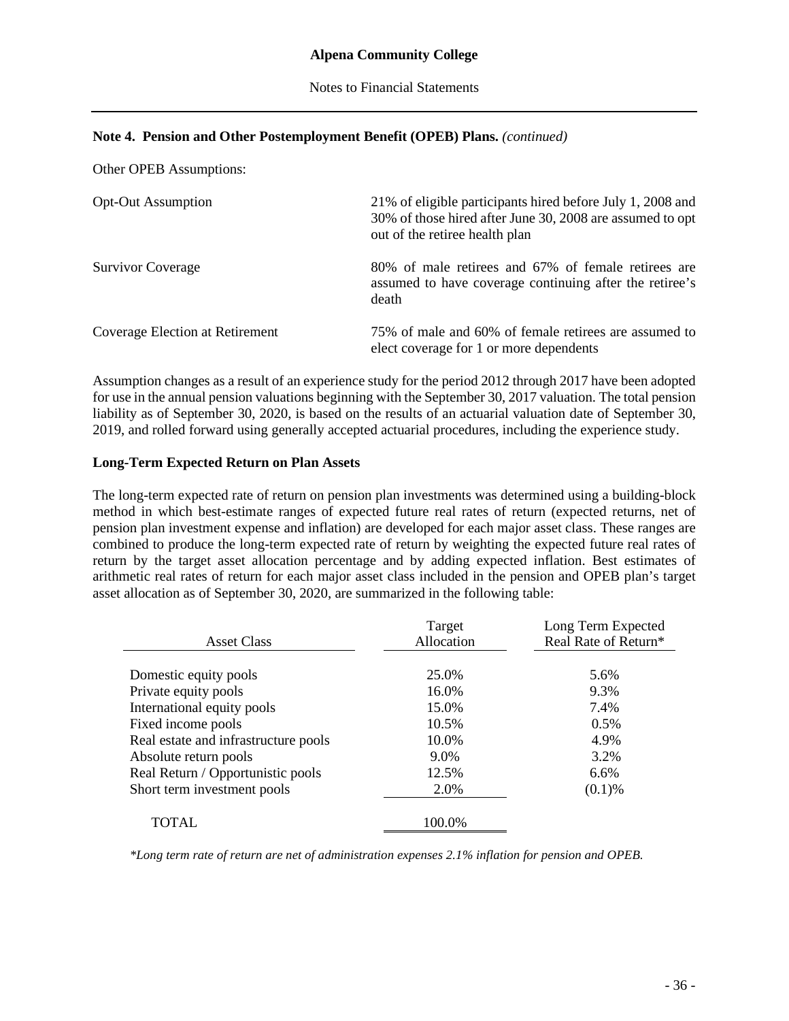Other OPEB Assumptions:

| <b>Opt-Out Assumption</b>       | 21% of eligible participants hired before July 1, 2008 and<br>30% of those hired after June 30, 2008 are assumed to opt<br>out of the retiree health plan |
|---------------------------------|-----------------------------------------------------------------------------------------------------------------------------------------------------------|
| <b>Survivor Coverage</b>        | 80% of male retirees and 67% of female retirees are<br>assumed to have coverage continuing after the retiree's<br>death                                   |
| Coverage Election at Retirement | 75% of male and 60% of female retirees are assumed to<br>elect coverage for 1 or more dependents                                                          |

 for use in the annual pension valuations beginning with the September 30, 2017 valuation. The total pension liability as of September 30, 2020, is based on the results of an actuarial valuation date of September 30, 2019, and rolled forward using generally accepted actuarial procedures, including the experience study. Assumption changes as a result of an experience study for the period 2012 through 2017 have been adopted

### **Long-Term Expected Return on Plan Assets**

 combined to produce the long-term expected rate of return by weighting the expected future real rates of The long-term expected rate of return on pension plan investments was determined using a building-block method in which best-estimate ranges of expected future real rates of return (expected returns, net of pension plan investment expense and inflation) are developed for each major asset class. These ranges are return by the target asset allocation percentage and by adding expected inflation. Best estimates of arithmetic real rates of return for each major asset class included in the pension and OPEB plan's target asset allocation as of September 30, 2020, are summarized in the following table:

|                                      | Target     | Long Term Expected   |
|--------------------------------------|------------|----------------------|
| <b>Asset Class</b>                   | Allocation | Real Rate of Return* |
|                                      |            |                      |
| Domestic equity pools                | 25.0%      | 5.6%                 |
| Private equity pools                 | 16.0%      | 9.3%                 |
| International equity pools           | 15.0%      | 7.4%                 |
| Fixed income pools                   | 10.5%      | 0.5%                 |
| Real estate and infrastructure pools | 10.0%      | 4.9%                 |
| Absolute return pools                | 9.0%       | 3.2%                 |
| Real Return / Opportunistic pools    | 12.5%      | 6.6%                 |
| Short term investment pools          | 2.0%       | $(0.1)$ %            |
| TOTAL                                | 100.0%     |                      |

*\*Long term rate of return are net of administration expenses 2.1% inflation for pension and OPEB.*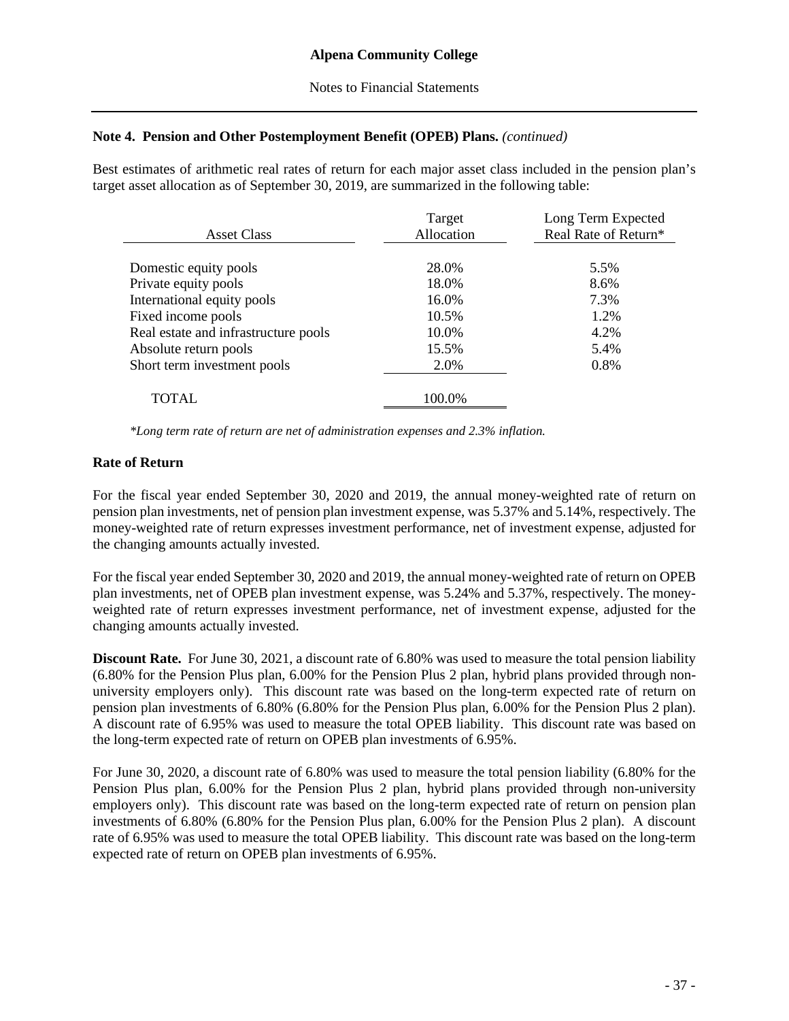Best estimates of arithmetic real rates of return for each major asset class included in the pension plan's target asset allocation as of September 30, 2019, are summarized in the following table:

|                                      | Target     | Long Term Expected   |
|--------------------------------------|------------|----------------------|
| Asset Class                          | Allocation | Real Rate of Return* |
|                                      |            |                      |
| Domestic equity pools                | 28.0%      | 5.5%                 |
| Private equity pools                 | 18.0%      | 8.6%                 |
| International equity pools           | 16.0%      | 7.3%                 |
| Fixed income pools                   | 10.5%      | 1.2%                 |
| Real estate and infrastructure pools | 10.0%      | 4.2%                 |
| Absolute return pools                | 15.5%      | 5.4%                 |
| Short term investment pools          | 2.0%       | 0.8%                 |
|                                      |            |                      |
| TOTAL.                               | 100.0%     |                      |

*\*Long term rate of return are net of administration expenses and 2.3% inflation.* 

### **Rate of Return**

 pension plan investments, net of pension plan investment expense, was 5.37% and 5.14%, respectively. The For the fiscal year ended September 30, 2020 and 2019, the annual money-weighted rate of return on money-weighted rate of return expresses investment performance, net of investment expense, adjusted for the changing amounts actually invested.

 For the fiscal year ended September 30, 2020 and 2019, the annual money-weighted rate of return on OPEB plan investments, net of OPEB plan investment expense, was 5.24% and 5.37%, respectively. The moneyweighted rate of return expresses investment performance, net of investment expense, adjusted for the changing amounts actually invested.

 **Discount Rate.** For June 30, 2021, a discount rate of 6.80% was used to measure the total pension liability pension plan investments of 6.80% (6.80% for the Pension Plus plan, 6.00% for the Pension Plus 2 plan). pension plan investments of 6.80% (6.80% for the Pension Plus plan, 6.00% for the Pension Plus 2 plan). A discount rate of 6.95% was used to measure the total OPEB liability. This discount rate was based on the long-term expected rate of return on OPEB plan investments of 6.95%. (6.80% for the Pension Plus plan, 6.00% for the Pension Plus 2 plan, hybrid plans provided through nonuniversity employers only). This discount rate was based on the long-term expected rate of return on

 investments of 6.80% (6.80% for the Pension Plus plan, 6.00% for the Pension Plus 2 plan). A discount expected rate of return on OPEB plan investments of 6.95%. For June 30, 2020, a discount rate of 6.80% was used to measure the total pension liability (6.80% for the Pension Plus plan, 6.00% for the Pension Plus 2 plan, hybrid plans provided through non-university employers only). This discount rate was based on the long-term expected rate of return on pension plan rate of 6.95% was used to measure the total OPEB liability. This discount rate was based on the long-term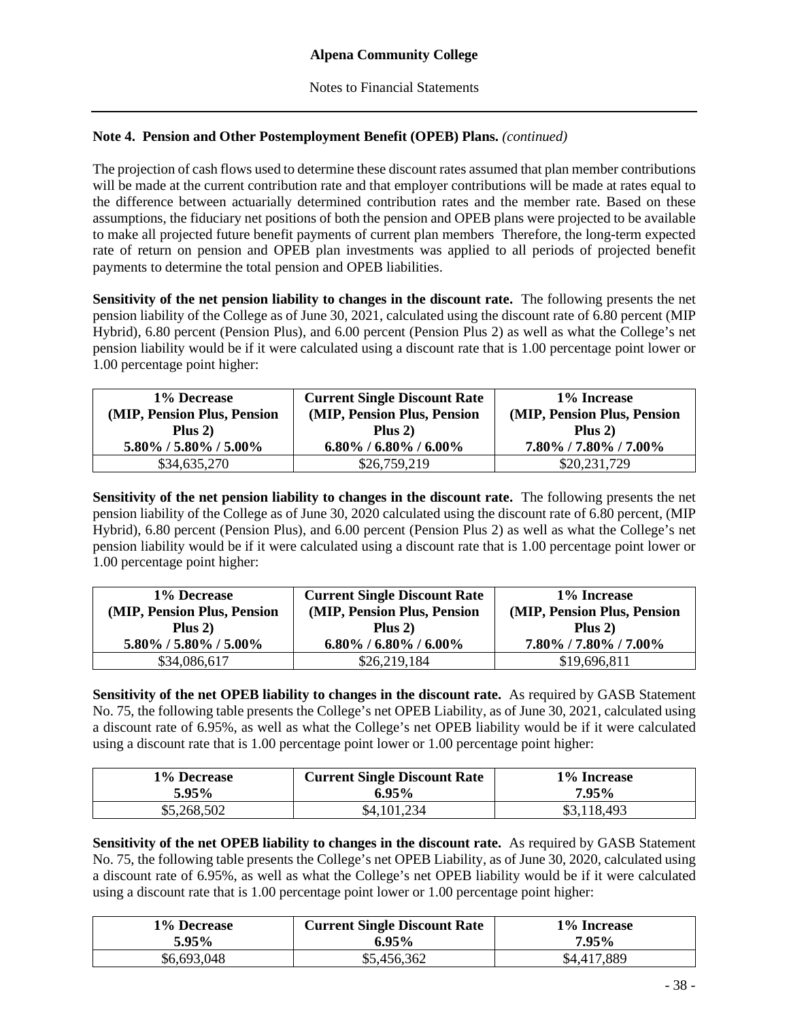will be made at the current contribution rate and that employer contributions will be made at rates equal to assumptions, the fiduciary net positions of both the pension and OPEB plans were projected to be available payments to determine the total pension and OPEB liabilities. The projection of cash flows used to determine these discount rates assumed that plan member contributions the difference between actuarially determined contribution rates and the member rate. Based on these to make all projected future benefit payments of current plan members Therefore, the long-term expected rate of return on pension and OPEB plan investments was applied to all periods of projected benefit

Sensitivity of the net pension liability to changes in the discount rate. The following presents the net pension liability of the College as of June 30, 2021, calculated using the discount rate of 6.80 percent (MIP pension liability would be if it were calculated using a discount rate that is 1.00 percentage point lower or 1.00 percentage point higher: Hybrid), 6.80 percent (Pension Plus), and 6.00 percent (Pension Plus 2) as well as what the College's net

| 1% Decrease                 | <b>Current Single Discount Rate</b> | 1% Increase                 |
|-----------------------------|-------------------------------------|-----------------------------|
| (MIP, Pension Plus, Pension | (MIP, Pension Plus, Pension         | (MIP, Pension Plus, Pension |
| Plus $2)$                   | Plus $2)$                           | Plus $2)$                   |
| $5.80\%$ / 5.80% / 5.00%    | $6.80\%$ / $6.80\%$ / $6.00\%$      | 7.80% / 7.80% / 7.00%       |
| \$34,635,270                | \$26,759,219                        | \$20,231,729                |

Sensitivity of the net pension liability to changes in the discount rate. The following presents the net pension liability of the College as of June 30, 2020 calculated using the discount rate of 6.80 percent, (MIP pension liability would be if it were calculated using a discount rate that is 1.00 percentage point lower or 1.00 percentage point higher: Hybrid), 6.80 percent (Pension Plus), and 6.00 percent (Pension Plus 2) as well as what the College's net

| 1% Decrease<br>(MIP, Pension Plus, Pension<br>Plus $2)$ | <b>Current Single Discount Rate</b><br>(MIP, Pension Plus, Pension<br>Plus $2)$ | 1% Increase<br>(MIP, Pension Plus, Pension<br>Plus $2)$ |
|---------------------------------------------------------|---------------------------------------------------------------------------------|---------------------------------------------------------|
| $5.80\%$ / 5.80% / 5.00%                                | $6.80\%$ / $6.80\%$ / $6.00\%$                                                  | $7.80\%$ / $7.80\%$ / $7.00\%$                          |
| \$34,086,617                                            | \$26,219,184                                                                    | \$19,696,811                                            |

 **Sensitivity of the net OPEB liability to changes in the discount rate.** As required by GASB Statement a discount rate of 6.95%, as well as what the College's net OPEB liability would be if it were calculated using a discount rate that is 1.00 percentage point lower or 1.00 percentage point higher: No. 75, the following table presents the College's net OPEB Liability, as of June 30, 2021, calculated using

| 1% Decrease | <b>Current Single Discount Rate</b> | 1% Increase |
|-------------|-------------------------------------|-------------|
| 5.95%       | $6.95\%$                            | 7.95%       |
| \$5,268,502 | \$4,101,234                         | \$3,118,493 |

 **Sensitivity of the net OPEB liability to changes in the discount rate.** As required by GASB Statement a discount rate of 6.95%, as well as what the College's net OPEB liability would be if it were calculated using a discount rate that is 1.00 percentage point lower or 1.00 percentage point higher: No. 75, the following table presents the College's net OPEB Liability, as of June 30, 2020, calculated using

| 1% Decrease | <b>Current Single Discount Rate</b> | 1% Increase |
|-------------|-------------------------------------|-------------|
| $5.95\%$    | $6.95\%$                            | 7.95%       |
| \$6,693,048 | \$5,456,362                         | \$4,417,889 |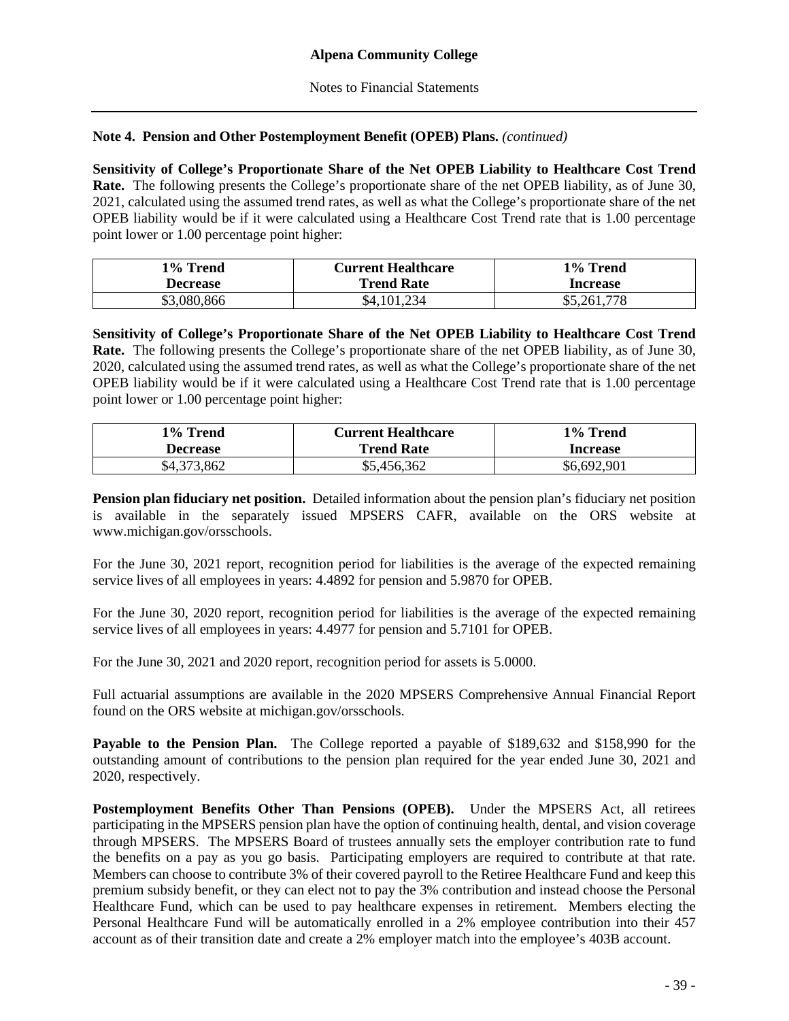**Sensitivity of College's Proportionate Share of the Net OPEB Liability to Healthcare Cost Trend Rate.** The following presents the College's proportionate share of the net OPEB liability, as of June 30, OPEB liability would be if it were calculated using a Healthcare Cost Trend rate that is 1.00 percentage point lower or 1.00 percentage point higher: 2021, calculated using the assumed trend rates, as well as what the College's proportionate share of the net

| 1% Trend        | <b>Current Healthcare</b> | 1% Trend    |
|-----------------|---------------------------|-------------|
| <b>Decrease</b> | <b>Trend Rate</b>         | Increase    |
| \$3,080,866     | \$4,101,234               | \$5,261,778 |

 **Sensitivity of College's Proportionate Share of the Net OPEB Liability to Healthcare Cost Trend Rate.** The following presents the College's proportionate share of the net OPEB liability, as of June 30, OPEB liability would be if it were calculated using a Healthcare Cost Trend rate that is 1.00 percentage point lower or 1.00 percentage point higher: 2020, calculated using the assumed trend rates, as well as what the College's proportionate share of the net

| 1% Trend        | <b>Current Healthcare</b> | 1% Trend        |
|-----------------|---------------------------|-----------------|
| <b>Decrease</b> | <b>Trend Rate</b>         | <b>Increase</b> |
| \$4,373,862     | \$5,456,362               | \$6,692,901     |

Pension plan fiduciary net position. Detailed information about the pension plan's fiduciary net position is available in the separately issued MPSERS CAFR, available on the ORS website at www.michigan.gov/orsschools.

 For the June 30, 2021 report, recognition period for liabilities is the average of the expected remaining service lives of all employees in years: 4.4892 for pension and 5.9870 for OPEB.

service lives of all employees in years: 4.4892 for pension and 5.9870 for OPEB.<br>For the June 30, 2020 report, recognition period for liabilities is the average of the expected remaining service lives of all employees in years: 4.4977 for pension and 5.7101 for OPEB.

service lives of all employees in years: 4.4977 for pension and 5.7101 for OPEB.<br>For the June 30, 2021 and 2020 report, recognition period for assets is 5.0000.

 found on the ORS website at michigan.gov/orsschools. Full actuarial assumptions are available in the 2020 MPSERS Comprehensive Annual Financial Report

Payable to the Pension Plan. The College reported a payable of \$189,632 and \$158,990 for the outstanding amount of contributions to the pension plan required for the year ended June 30, 2021 and 2020, respectively.

Postemployment Benefits Other Than Pensions (OPEB). Under the MPSERS Act, all retirees participating in the MPSERS pension plan have the option of continuing health, dental, and vision coverage through MPSERS. The MPSERS Board of trustees annually sets the employer contribution rate to fund the benefits on a pay as you go basis. Participating employers are required to contribute at that rate. premium subsidy benefit, or they can elect not to pay the 3% contribution and instead choose the Personal Personal Healthcare Fund will be automatically enrolled in a 2% employee contribution into their 457 Members can choose to contribute 3% of their covered payroll to the Retiree Healthcare Fund and keep this Healthcare Fund, which can be used to pay healthcare expenses in retirement. Members electing the account as of their transition date and create a 2% employer match into the employee's 403B account.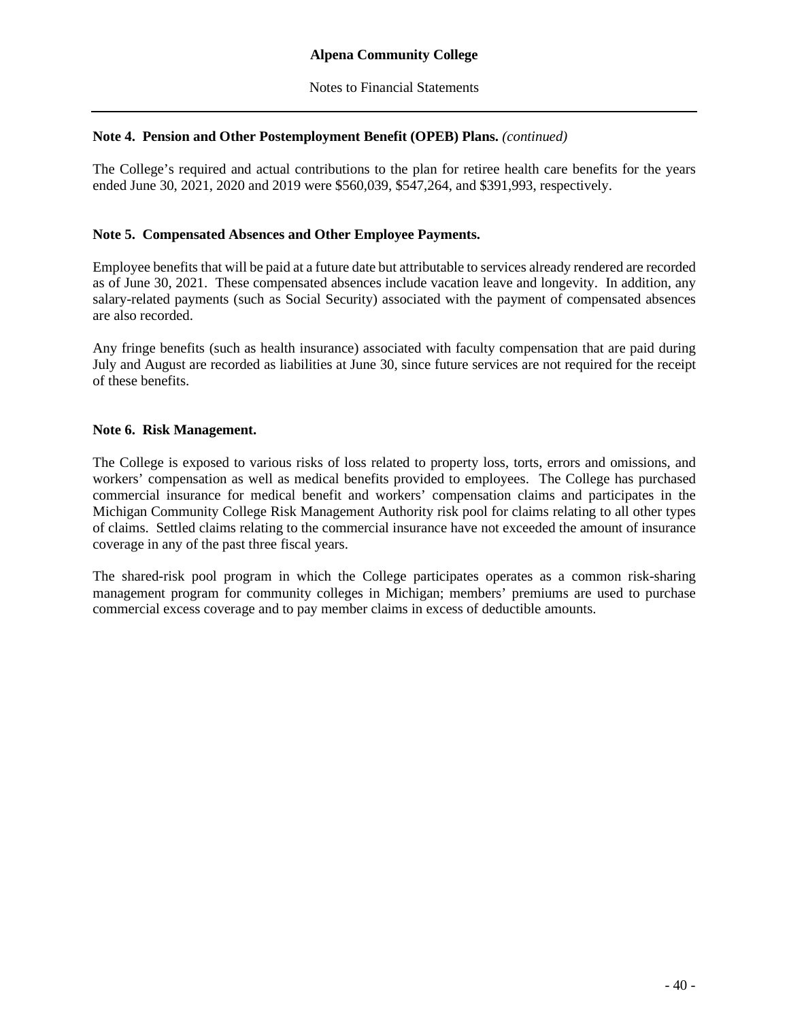The College's required and actual contributions to the plan for retiree health care benefits for the years ended June 30, 2021, 2020 and 2019 were \$560,039, \$547,264, and \$391,993, respectively.

# **Note 5. Compensated Absences and Other Employee Payments.**

 as of June 30, 2021. These compensated absences include vacation leave and longevity. In addition, any Employee benefits that will be paid at a future date but attributable to services already rendered are recorded salary-related payments (such as Social Security) associated with the payment of compensated absences are also recorded.

Any fringe benefits (such as health insurance) associated with faculty compensation that are paid during July and August are recorded as liabilities at June 30, since future services are not required for the receipt of these benefits.

### **Note 6. Risk Management.**

 workers' compensation as well as medical benefits provided to employees. The College has purchased Michigan Community College Risk Management Authority risk pool for claims relating to all other types of claims. Settled claims relating to the commercial insurance have not exceeded the amount of insurance coverage in any of the past three fiscal years. The College is exposed to various risks of loss related to property loss, torts, errors and omissions, and commercial insurance for medical benefit and workers' compensation claims and participates in the

 management program for community colleges in Michigan; members' premiums are used to purchase The shared-risk pool program in which the College participates operates as a common risk-sharing commercial excess coverage and to pay member claims in excess of deductible amounts.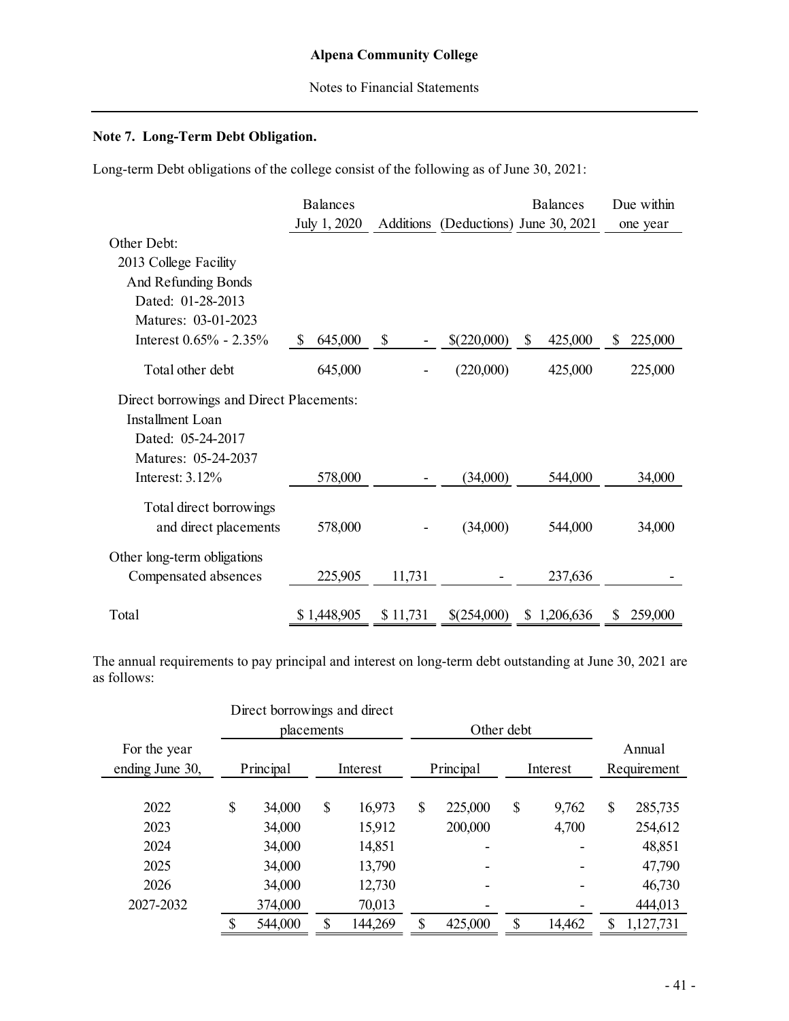# **Note 7. Long-Term Debt Obligation.**

Long-term Debt obligations of the college consist of the following as of June 30, 2021:

|                                          | <b>Balances</b> |          |             | <b>Balances</b>                      | Due within    |
|------------------------------------------|-----------------|----------|-------------|--------------------------------------|---------------|
|                                          | July 1, 2020    |          |             | Additions (Deductions) June 30, 2021 | one year      |
| Other Debt:                              |                 |          |             |                                      |               |
| 2013 College Facility                    |                 |          |             |                                      |               |
| And Refunding Bonds                      |                 |          |             |                                      |               |
| Dated: 01-28-2013                        |                 |          |             |                                      |               |
| Matures: 03-01-2023                      |                 |          |             |                                      |               |
| Interest 0.65% - 2.35%                   | 645,000<br>S    | \$       | \$(220,000) | 425,000<br>\$                        | 225,000<br>\$ |
| Total other debt                         | 645,000         |          | (220,000)   | 425,000                              | 225,000       |
| Direct borrowings and Direct Placements: |                 |          |             |                                      |               |
| Installment Loan                         |                 |          |             |                                      |               |
| Dated: 05-24-2017                        |                 |          |             |                                      |               |
| Matures: 05-24-2037                      |                 |          |             |                                      |               |
| Interest: $3.12%$                        | 578,000         |          | (34,000)    | 544,000                              | 34,000        |
| Total direct borrowings                  |                 |          |             |                                      |               |
| and direct placements                    | 578,000         |          | (34,000)    | 544,000                              | 34,000        |
| Other long-term obligations              |                 |          |             |                                      |               |
| Compensated absences                     | 225,905         | 11,731   |             | 237,636                              |               |
| Total                                    | \$1,448,905     | \$11,731 | \$(254,000) | 1,206,636<br>S.                      | 259,000<br>\$ |

The annual requirements to pay principal and interest on long-term debt outstanding at June 30, 2021 are as follows:

| Direct borrowings and direct |            |           |              |          |    |            |    |          |    |             |
|------------------------------|------------|-----------|--------------|----------|----|------------|----|----------|----|-------------|
|                              | placements |           |              |          |    | Other debt |    |          |    |             |
| For the year                 |            |           |              |          |    |            |    |          |    | Annual      |
| ending June 30,              |            | Principal |              | Interest |    | Principal  |    | Interest |    | Requirement |
|                              |            |           |              |          |    |            |    |          |    |             |
| 2022                         | \$         | 34,000    | $\mathbb{S}$ | 16,973   | \$ | 225,000    | \$ | 9,762    | \$ | 285,735     |
| 2023                         |            | 34,000    |              | 15,912   |    | 200,000    |    | 4,700    |    | 254,612     |
| 2024                         |            | 34,000    |              | 14,851   |    |            |    |          |    | 48,851      |
| 2025                         |            | 34,000    |              | 13,790   |    |            |    |          |    | 47,790      |
| 2026                         |            | 34,000    |              | 12,730   |    |            |    |          |    | 46,730      |
| 2027-2032                    |            | 374,000   |              | 70,013   |    |            |    |          |    | 444,013     |
|                              |            | 544,000   | \$           | 144,269  |    | 425,000    | \$ | 14,462   | S  | 1,127,731   |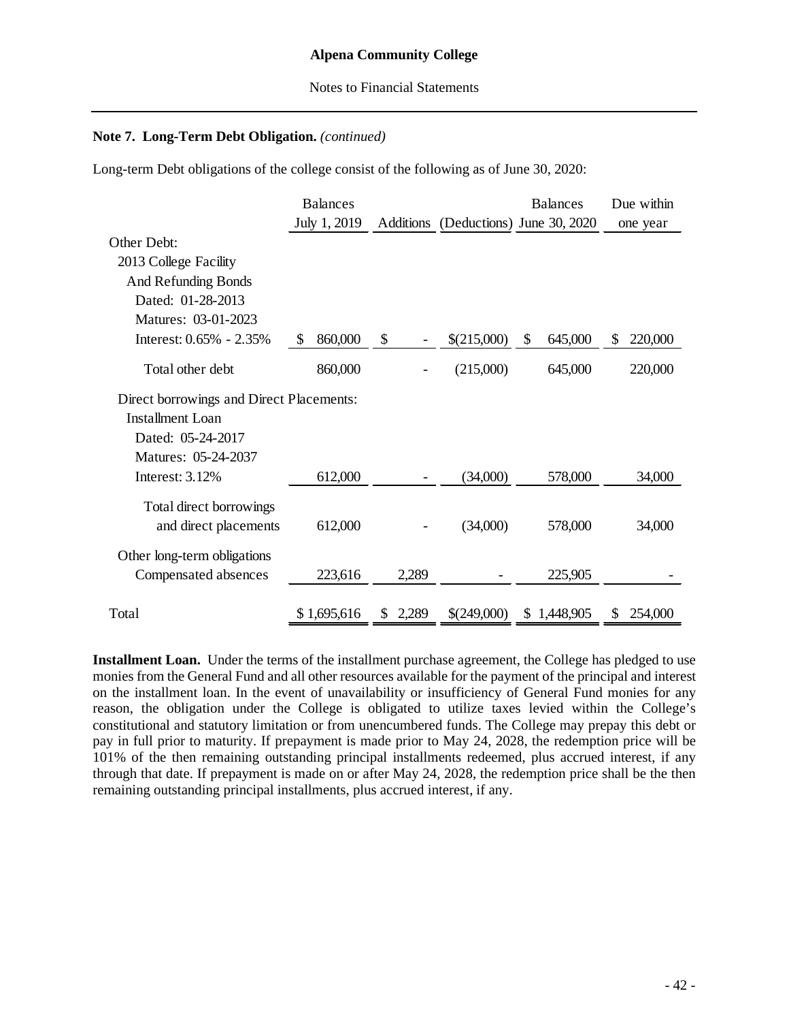# **Note 7. Long-Term Debt Obligation.** *(continued)*

Long-term Debt obligations of the college consist of the following as of June 30, 2020:

|                                          | <b>Balances</b> |         |             | <b>Balances</b>                      | Due within    |
|------------------------------------------|-----------------|---------|-------------|--------------------------------------|---------------|
|                                          | July 1, 2019    |         |             | Additions (Deductions) June 30, 2020 | one year      |
| Other Debt:                              |                 |         |             |                                      |               |
| 2013 College Facility                    |                 |         |             |                                      |               |
| And Refunding Bonds                      |                 |         |             |                                      |               |
| Dated: 01-28-2013                        |                 |         |             |                                      |               |
| Matures: 03-01-2023                      |                 |         |             |                                      |               |
| Interest: 0.65% - 2.35%                  | 860,000<br>\$   | \$      | \$(215,000) | 645,000<br>\$                        | 220,000<br>S  |
| Total other debt                         | 860,000         |         | (215,000)   | 645,000                              | 220,000       |
| Direct borrowings and Direct Placements: |                 |         |             |                                      |               |
| <b>Installment Loan</b>                  |                 |         |             |                                      |               |
| Dated: 05-24-2017                        |                 |         |             |                                      |               |
| Matures: 05-24-2037                      |                 |         |             |                                      |               |
| Interest: 3.12%                          | 612,000         |         | (34,000)    | 578,000                              | 34,000        |
| Total direct borrowings                  |                 |         |             |                                      |               |
| and direct placements                    | 612,000         |         | (34,000)    | 578,000                              | 34,000        |
| Other long-term obligations              |                 |         |             |                                      |               |
| Compensated absences                     | 223,616         | 2,289   |             | 225,905                              |               |
|                                          |                 |         |             |                                      |               |
| Total                                    | \$1,695,616     | \$2,289 | \$(249,000) | \$1,448,905                          | \$<br>254,000 |

 monies from the General Fund and all other resources available for the payment of the principal and interest on the installment loan. In the event of unavailability or insufficiency of General Fund monies for any reason, the obligation under the College is obligated to utilize taxes levied within the College's pay in full prior to maturity. If prepayment is made prior to May 24, 2028, the redemption price will be remaining outstanding principal installments, plus accrued interest, if any. **Installment Loan.** Under the terms of the installment purchase agreement, the College has pledged to use constitutional and statutory limitation or from unencumbered funds. The College may prepay this debt or 101% of the then remaining outstanding principal installments redeemed, plus accrued interest, if any through that date. If prepayment is made on or after May 24, 2028, the redemption price shall be the then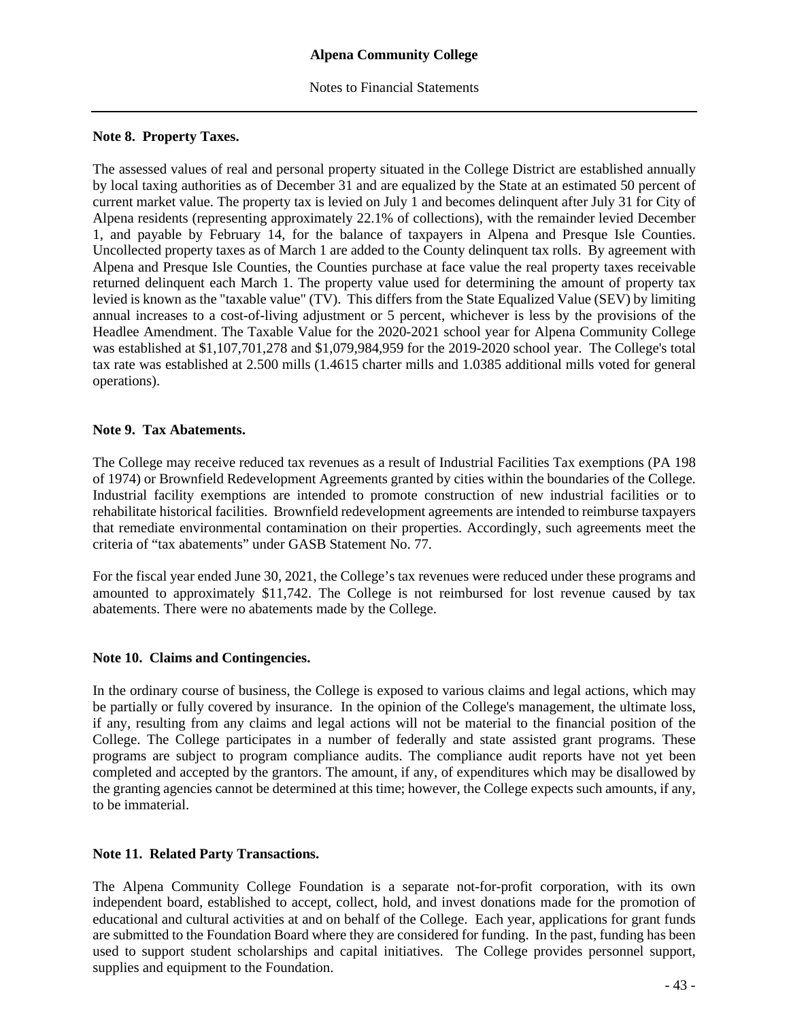Notes to Financial Statements

# **Note 8. Property Taxes.**

 The assessed values of real and personal property situated in the College District are established annually by local taxing authorities as of December 31 and are equalized by the State at an estimated 50 percent of current market value. The property tax is levied on July 1 and becomes delinquent after July 31 for City of Alpena residents (representing approximately 22.1% of collections), with the remainder levied December 1, and payable by February 14, for the balance of taxpayers in Alpena and Presque Isle Counties. Uncollected property taxes as of March 1 are added to the County delinquent tax rolls. By agreement with levied is known as the "taxable value" (TV). This differs from the State Equalized Value (SEV) by limiting annual increases to a cost-of-living adjustment or 5 percent, whichever is less by the provisions of the tax rate was established at 2.500 mills (1.4615 charter mills and 1.0385 additional mills voted for general Alpena and Presque Isle Counties, the Counties purchase at face value the real property taxes receivable returned delinquent each March 1. The property value used for determining the amount of property tax Headlee Amendment. The Taxable Value for the 2020-2021 school year for Alpena Community College was established at \$1,107,701,278 and \$1,079,984,959 for the 2019-2020 school year. The College's total operations).

### **Note 9. Tax Abatements.**

 The College may receive reduced tax revenues as a result of Industrial Facilities Tax exemptions (PA 198 of 1974) or Brownfield Redevelopment Agreements granted by cities within the boundaries of the College. rehabilitate historical facilities. Brownfield redevelopment agreements are intended to reimburse taxpayers that remediate environmental contamination on their properties. Accordingly, such agreements meet the Industrial facility exemptions are intended to promote construction of new industrial facilities or to criteria of "tax abatements" under GASB Statement No. 77.

 abatements. There were no abatements made by the College. For the fiscal year ended June 30, 2021, the College's tax revenues were reduced under these programs and amounted to approximately \$11,742. The College is not reimbursed for lost revenue caused by tax

# **Note 10. Claims and Contingencies.**

 In the ordinary course of business, the College is exposed to various claims and legal actions, which may be partially or fully covered by insurance. In the opinion of the College's management, the ultimate loss, if any, resulting from any claims and legal actions will not be material to the financial position of the College. The College participates in a number of federally and state assisted grant programs. These programs are subject to program compliance audits. The compliance audit reports have not yet been the granting agencies cannot be determined at this time; however, the College expects such amounts, if any, completed and accepted by the grantors. The amount, if any, of expenditures which may be disallowed by to be immaterial.

# **Note 11. Related Party Transactions.**

The Alpena Community College Foundation is a separate not-for-profit corporation, with its own independent board, established to accept, collect, hold, and invest donations made for the promotion of educational and cultural activities at and on behalf of the College. Each year, applications for grant funds are submitted to the Foundation Board where they are considered for funding. In the past, funding has been used to support student scholarships and capital initiatives. The College provides personnel support, supplies and equipment to the Foundation.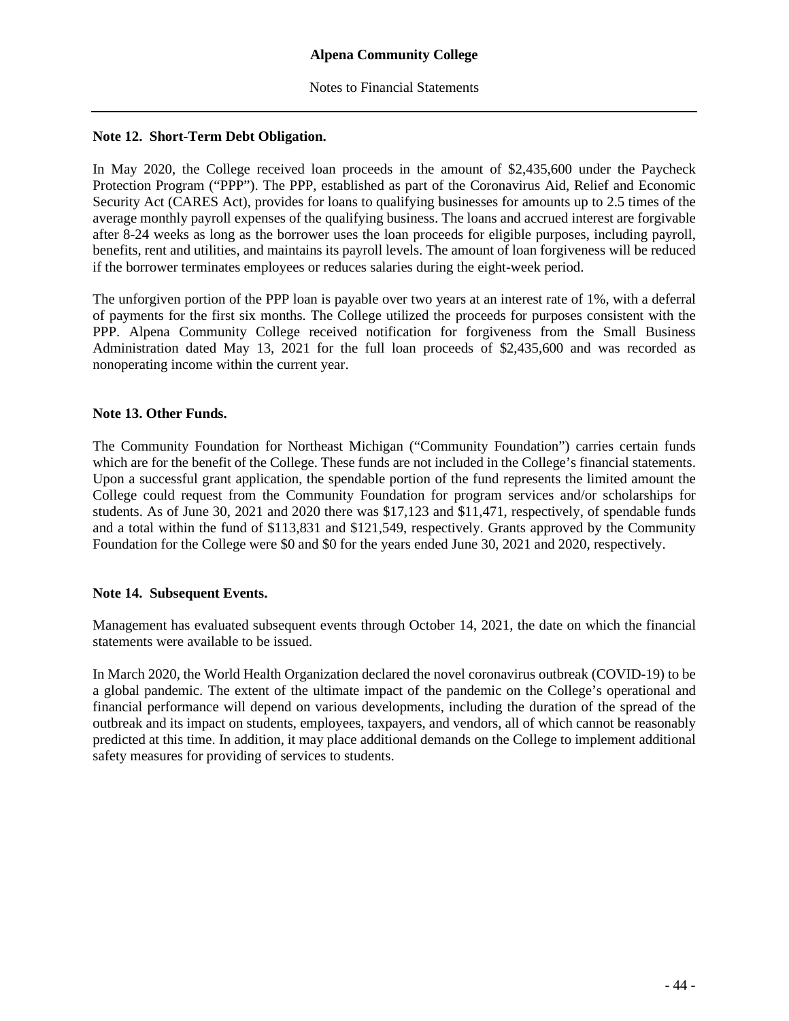# **Note 12. Short-Term Debt Obligation.**

 Protection Program ("PPP"). The PPP, established as part of the Coronavirus Aid, Relief and Economic Security Act (CARES Act), provides for loans to qualifying businesses for amounts up to 2.5 times of the benefits, rent and utilities, and maintains its payroll levels. The amount of loan forgiveness will be reduced if the borrower terminates employees or reduces salaries during the eight-week period. In May 2020, the College received loan proceeds in the amount of \$2,435,600 under the Paycheck average monthly payroll expenses of the qualifying business. The loans and accrued interest are forgivable after 8-24 weeks as long as the borrower uses the loan proceeds for eligible purposes, including payroll,

 of payments for the first six months. The College utilized the proceeds for purposes consistent with the Administration dated May 13, 2021 for the full loan proceeds of \$2,435,600 and was recorded as The unforgiven portion of the PPP loan is payable over two years at an interest rate of 1%, with a deferral PPP. Alpena Community College received notification for forgiveness from the Small Business nonoperating income within the current year.

# **Note 13. Other Funds.**

 The Community Foundation for Northeast Michigan ("Community Foundation") carries certain funds which are for the benefit of the College. These funds are not included in the College's financial statements. Upon a successful grant application, the spendable portion of the fund represents the limited amount the students. As of June 30, 2021 and 2020 there was \$17,123 and \$11,471, respectively, of spendable funds and a total within the fund of \$113,831 and \$121,549, respectively. Grants approved by the Community College could request from the Community Foundation for program services and/or scholarships for Foundation for the College were \$0 and \$0 for the years ended June 30, 2021 and 2020, respectively.

# **Note 14. Subsequent Events.**

 Management has evaluated subsequent events through October 14, 2021, the date on which the financial statements were available to be issued.

 safety measures for providing of services to students. In March 2020, the World Health Organization declared the novel coronavirus outbreak (COVID-19) to be a global pandemic. The extent of the ultimate impact of the pandemic on the College's operational and financial performance will depend on various developments, including the duration of the spread of the outbreak and its impact on students, employees, taxpayers, and vendors, all of which cannot be reasonably predicted at this time. In addition, it may place additional demands on the College to implement additional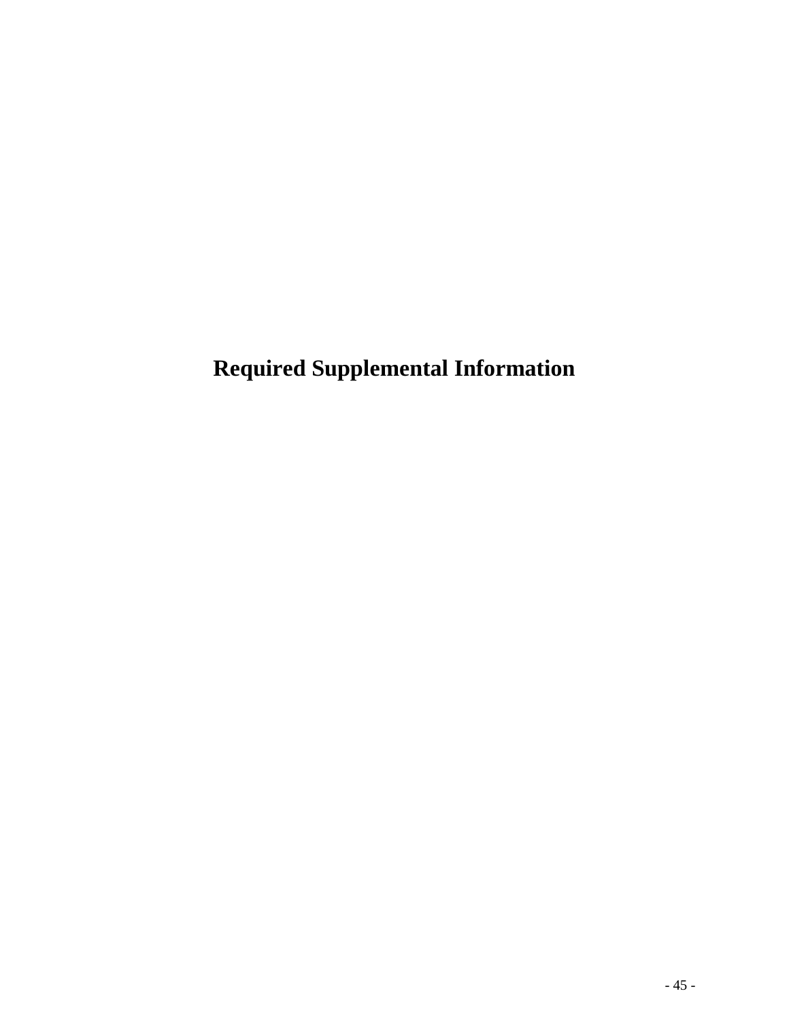**Required Supplemental Information**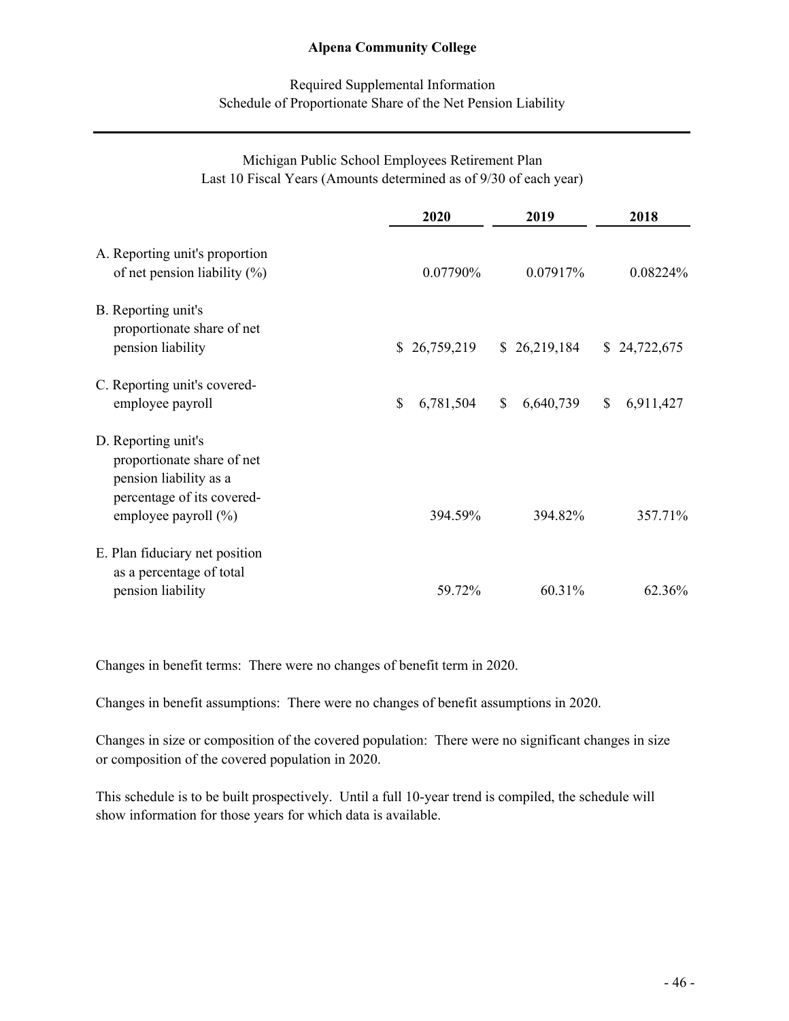# **Alpena Community College**

# Required Supplemental Information Schedule of Proportionate Share of the Net Pension Liability

# Michigan Public School Employees Retirement Plan Last 10 Fiscal Years (Amounts determined as of 9/30 of each year)

| 2020            | 2019                      | 2018            |
|-----------------|---------------------------|-----------------|
| 0.07790%        | 0.07917%                  | 0.08224%        |
| \$26,759,219    | \$26,219,184              | \$24,722,675    |
| \$<br>6,781,504 | $\mathbb{S}$<br>6,640,739 | \$<br>6,911,427 |
| 394.59%         | 394.82%                   | 357.71%         |
|                 |                           | 62.36%          |
|                 | 59.72%                    | 60.31%          |

Changes in benefit terms: There were no changes of benefit term in 2020.

Changes in benefit assumptions: There were no changes of benefit assumptions in 2020.

Changes in size or composition of the covered population: There were no significant changes in size or composition of the covered population in 2020.

This schedule is to be built prospectively. Until a full 10-year trend is compiled, the schedule will show information for those years for which data is available.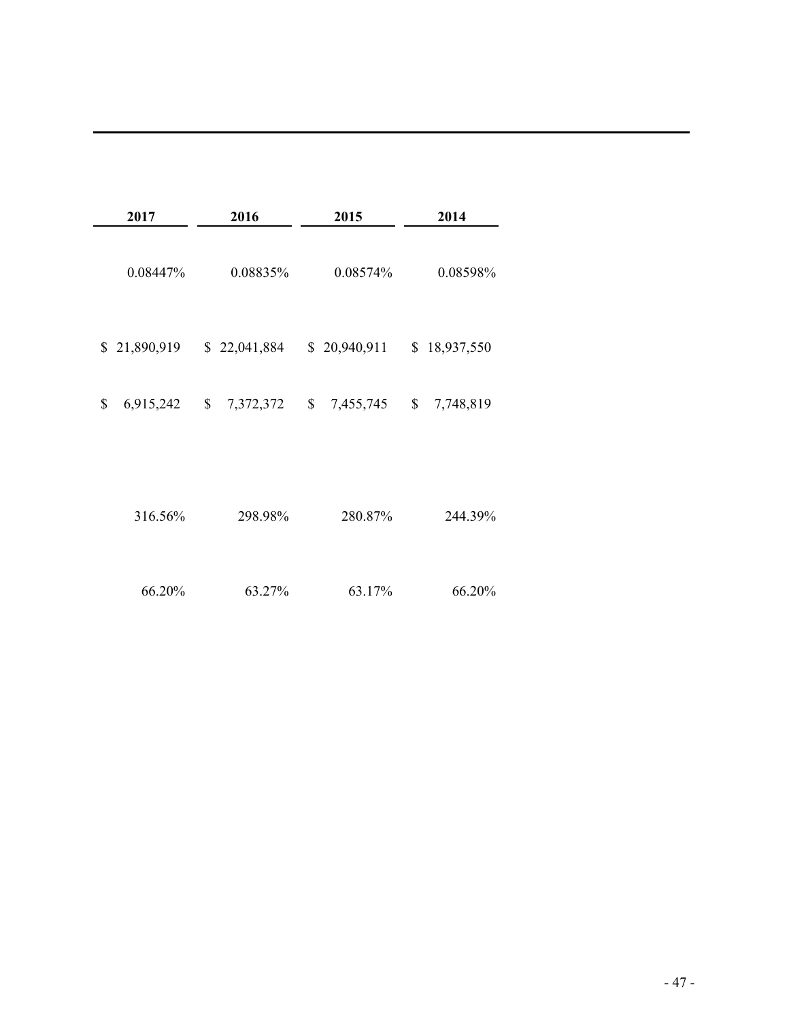| 2017             | 2016            | 2015            | 2014             |
|------------------|-----------------|-----------------|------------------|
| 0.08447%         | 0.08835%        | 0.08574%        | 0.08598%         |
| \$<br>21,890,919 | \$22,041,884    | \$20,940,911    | \$<br>18,937,550 |
| \$<br>6,915,242  | \$<br>7,372,372 | \$<br>7,455,745 | \$<br>7,748,819  |
|                  |                 |                 |                  |
| 316.56%          | 298.98%         | 280.87%         | 244.39%          |
| 66.20%           | 63.27%          | 63.17%          | 66.20%           |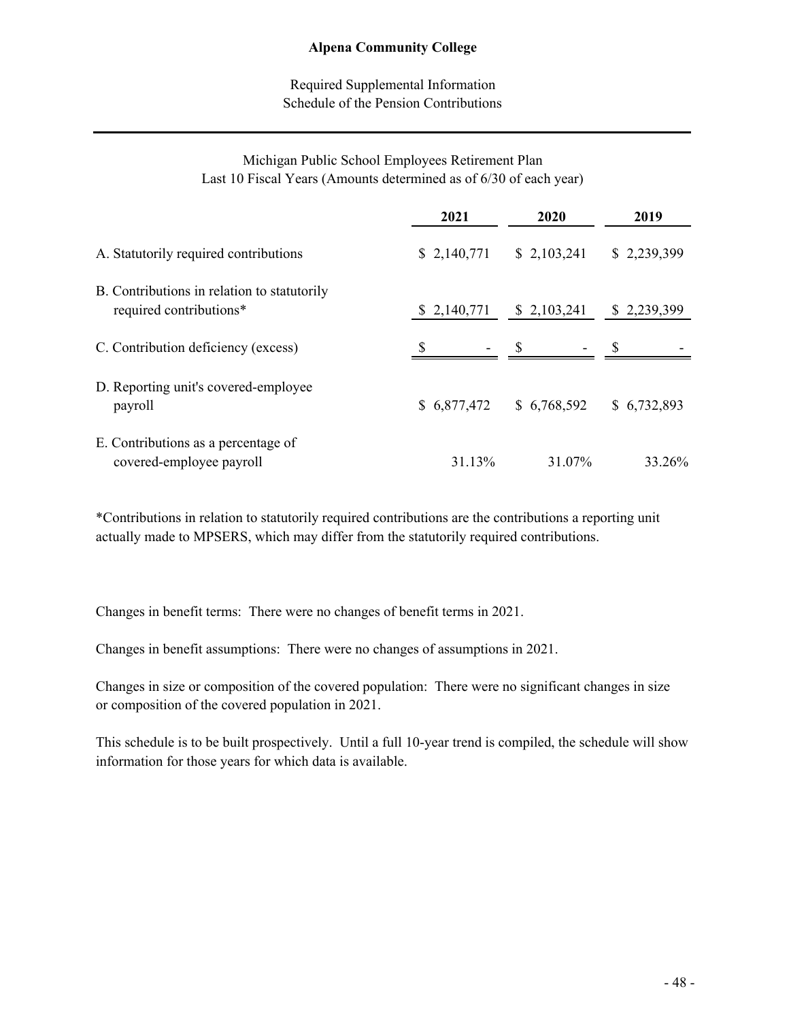# Required Supplemental Information Schedule of the Pension Contributions

# Michigan Public School Employees Retirement Plan Last 10 Fiscal Years (Amounts determined as of 6/30 of each year)

|                                                                        | 2021        | <b>2020</b>   | 2019        |
|------------------------------------------------------------------------|-------------|---------------|-------------|
| A. Statutorily required contributions                                  | \$2,140,771 | \$2,103,241   | \$2,239,399 |
| B. Contributions in relation to statutorily<br>required contributions* | \$2,140,771 | \$2,103,241   | \$2,239,399 |
| C. Contribution deficiency (excess)                                    |             | <sup>\$</sup> | S           |
| D. Reporting unit's covered-employee<br>payroll                        | \$6,877,472 | \$6,768,592   | \$6,732,893 |
| E. Contributions as a percentage of<br>covered-employee payroll        | 31.13%      | 31.07%        | 33.26%      |

\*Contributions in relation to statutorily required contributions are the contributions a reporting unit actually made to MPSERS, which may differ from the statutorily required contributions.

Changes in benefit terms: There were no changes of benefit terms in 2021.

Changes in benefit assumptions: There were no changes of assumptions in 2021.

Changes in size or composition of the covered population: There were no significant changes in size or composition of the covered population in 2021.

This schedule is to be built prospectively. Until a full 10-year trend is compiled, the schedule will show information for those years for which data is available.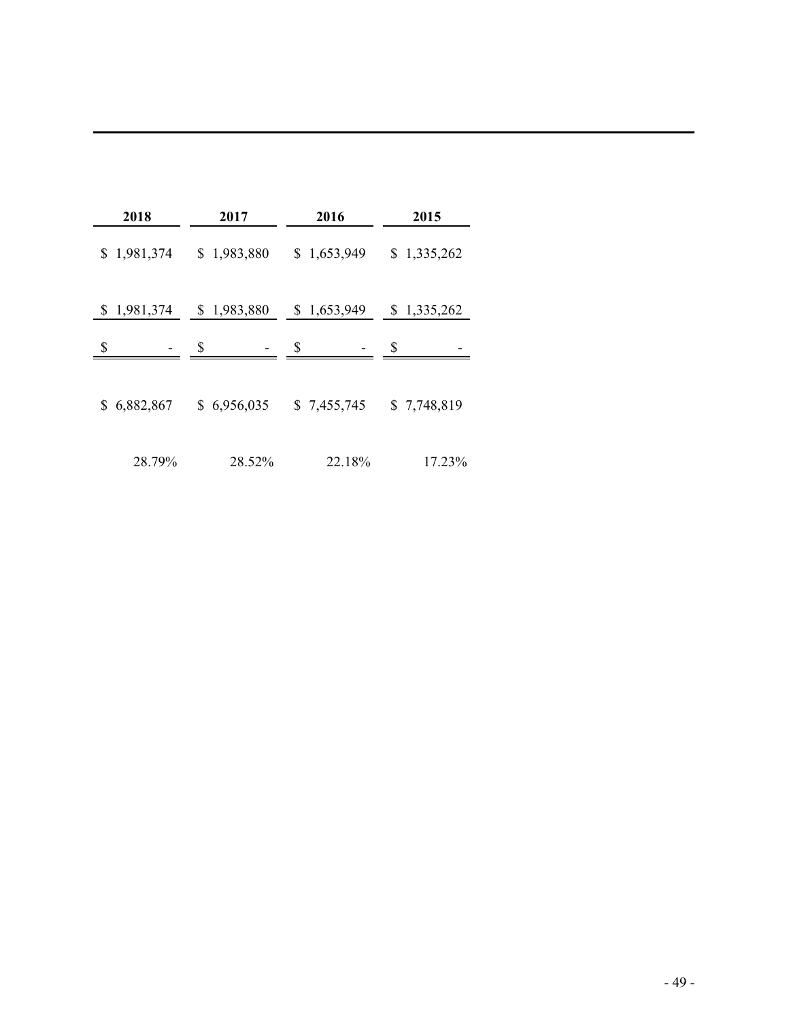| 2018            | 2017            | 2016        | 2015        |
|-----------------|-----------------|-------------|-------------|
| 1,981,374<br>\$ | \$1,983,880     | \$1,653,949 | \$1,335,262 |
| 1,981,374<br>\$ | \$1,983,880     | \$1,653,949 | \$1,335,262 |
| S               | S               | S           | S           |
| 6,882,867<br>\$ | 6,956,035<br>\$ | \$7,455,745 | \$7,748,819 |
| 28.79%          | 28.52%          | 22.18%      | 17.23%      |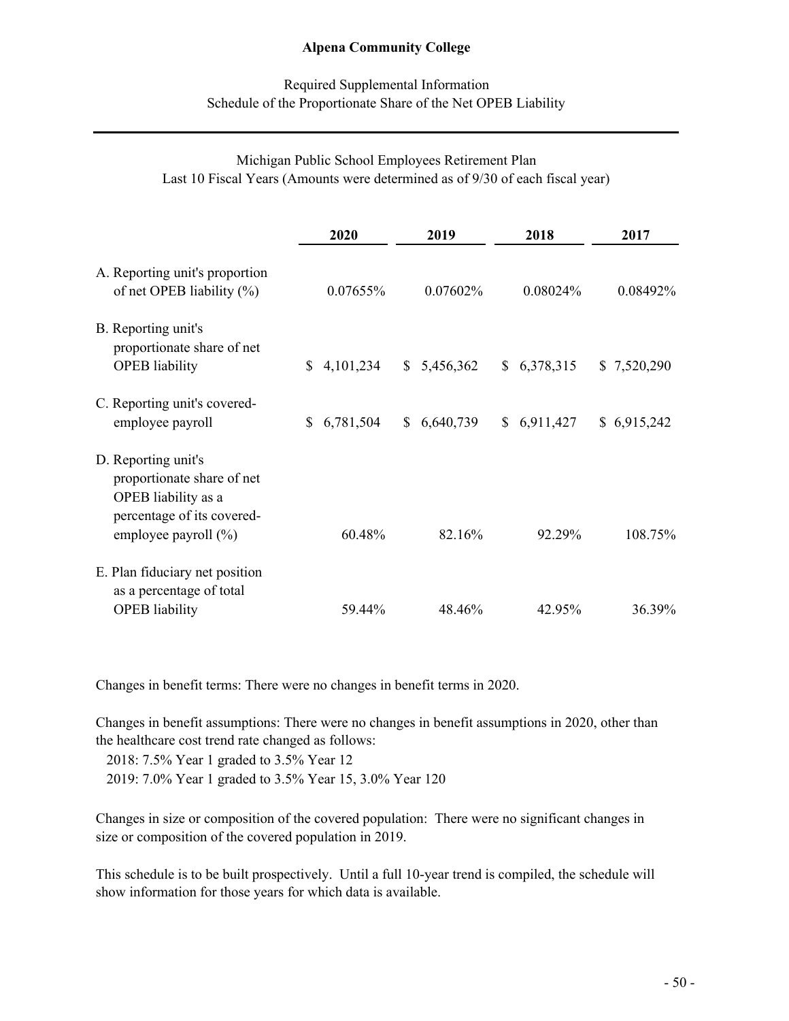# **Alpena Community College**

# Required Supplemental Information Schedule of the Proportionate Share of the Net OPEB Liability

# Michigan Public School Employees Retirement Plan Last 10 Fiscal Years (Amounts were determined as of 9/30 of each fiscal year)

|                                                                                                                                | 2020            | 2019            |    | 2018      | 2017        |
|--------------------------------------------------------------------------------------------------------------------------------|-----------------|-----------------|----|-----------|-------------|
| A. Reporting unit's proportion<br>of net OPEB liability (%)                                                                    | 0.07655%        | 0.07602%        |    | 0.08024%  | 0.08492%    |
| B. Reporting unit's<br>proportionate share of net<br><b>OPEB</b> liability                                                     | \$<br>4,101,234 | \$5,456,362     | S. | 6,378,315 | \$7,520,290 |
| C. Reporting unit's covered-<br>employee payroll                                                                               | \$<br>6,781,504 | \$<br>6,640,739 | S. | 6,911,427 | \$6,915,242 |
| D. Reporting unit's<br>proportionate share of net<br>OPEB liability as a<br>percentage of its covered-<br>employee payroll (%) | 60.48%          | 82.16%          |    | 92.29%    | 108.75%     |
| E. Plan fiduciary net position<br>as a percentage of total                                                                     |                 |                 |    |           |             |
| <b>OPEB</b> liability                                                                                                          | 59.44%          | 48.46%          |    | 42.95%    | 36.39%      |

Changes in benefit terms: There were no changes in benefit terms in 2020.

Changes in benefit assumptions: There were no changes in benefit assumptions in 2020, other than the healthcare cost trend rate changed as follows:

2018: 7.5% Year 1 graded to 3.5% Year 12 2019: 7.0% Year 1 graded to 3.5% Year 15, 3.0% Year 120

Changes in size or composition of the covered population: There were no significant changes in size or composition of the covered population in 2019.

This schedule is to be built prospectively. Until a full 10-year trend is compiled, the schedule will show information for those years for which data is available.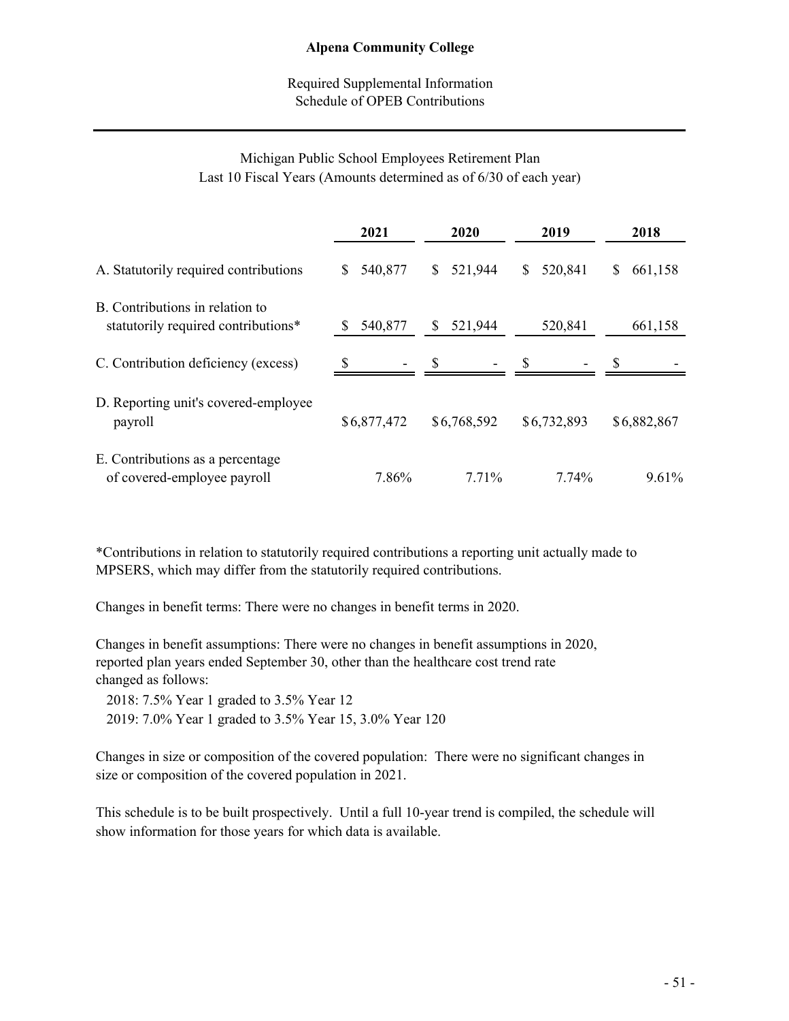# **Alpena Community College**

# Required Supplemental Information Schedule of OPEB Contributions

# Michigan Public School Employees Retirement Plan Last 10 Fiscal Years (Amounts determined as of 6/30 of each year)

|                                                                        | 2021         | 2020                     | 2019          | 2018          |
|------------------------------------------------------------------------|--------------|--------------------------|---------------|---------------|
| A. Statutorily required contributions                                  | S<br>540,877 | 521,944<br>\$            | \$<br>520,841 | 661,158<br>\$ |
| B. Contributions in relation to<br>statutorily required contributions* | 540,877      | <sup>\$</sup><br>521,944 | 520,841       | 661,158       |
| C. Contribution deficiency (excess)                                    |              | $\mathcal{S}$            | <sup>S</sup>  |               |
| D. Reporting unit's covered-employee<br>payroll                        | \$6,877,472  | \$6,768,592              | \$6,732,893   | \$6,882,867   |
| E. Contributions as a percentage<br>of covered-employee payroll        | 7.86%        | 7.71%                    | 7.74%         | 9.61%         |

\*Contributions in relation to statutorily required contributions a reporting unit actually made to MPSERS, which may differ from the statutorily required contributions.

Changes in benefit terms: There were no changes in benefit terms in 2020.

Changes in benefit assumptions: There were no changes in benefit assumptions in 2020, reported plan years ended September 30, other than the healthcare cost trend rate changed as follows:

2018: 7.5% Year 1 graded to 3.5% Year 12

2019: 7.0% Year 1 graded to 3.5% Year 15, 3.0% Year 120

Changes in size or composition of the covered population: There were no significant changes in size or composition of the covered population in 2021.

This schedule is to be built prospectively. Until a full 10-year trend is compiled, the schedule will show information for those years for which data is available.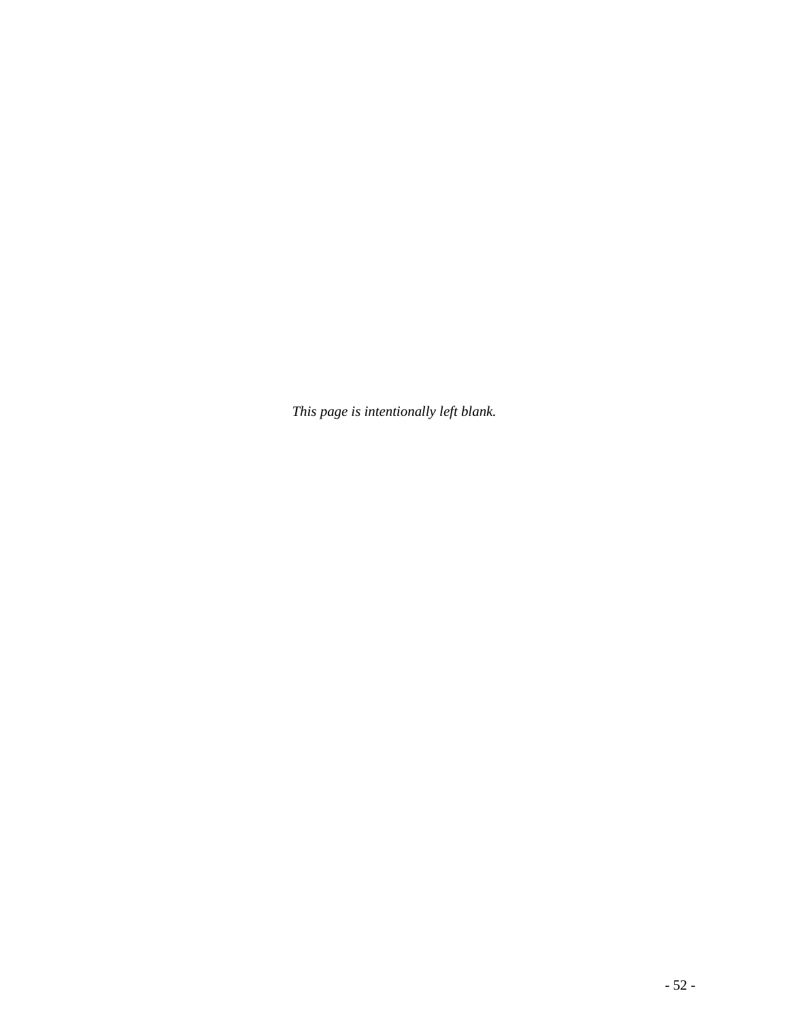*This page is intentionally left blank.*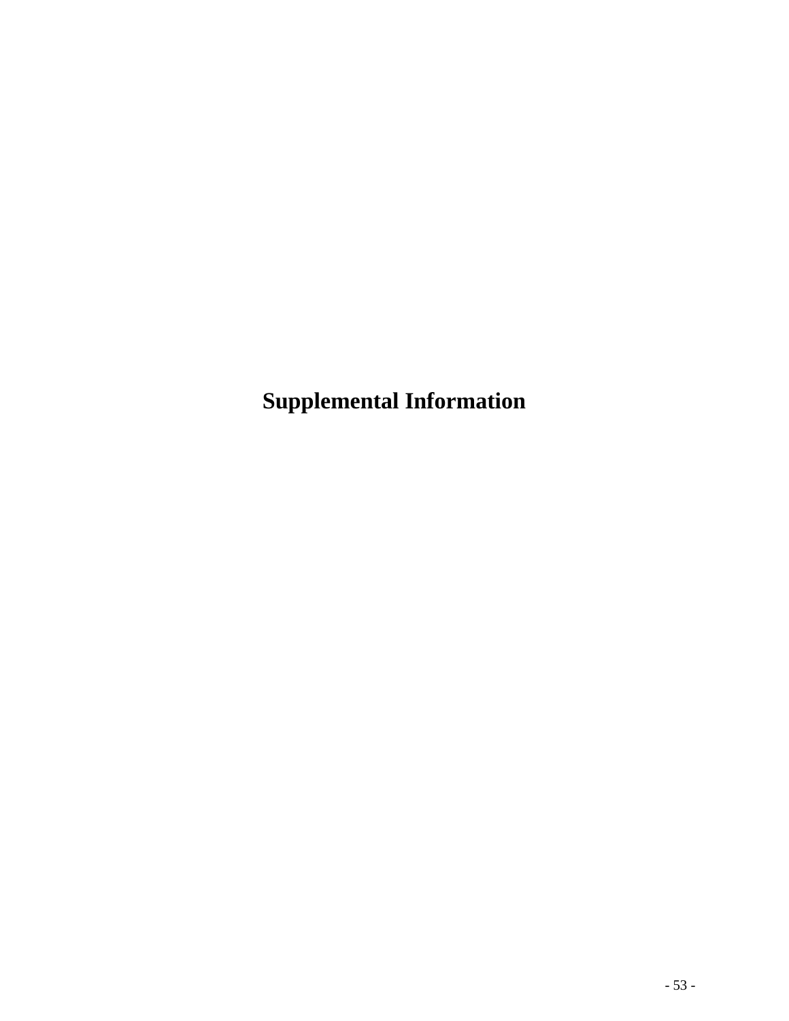**Supplemental Information**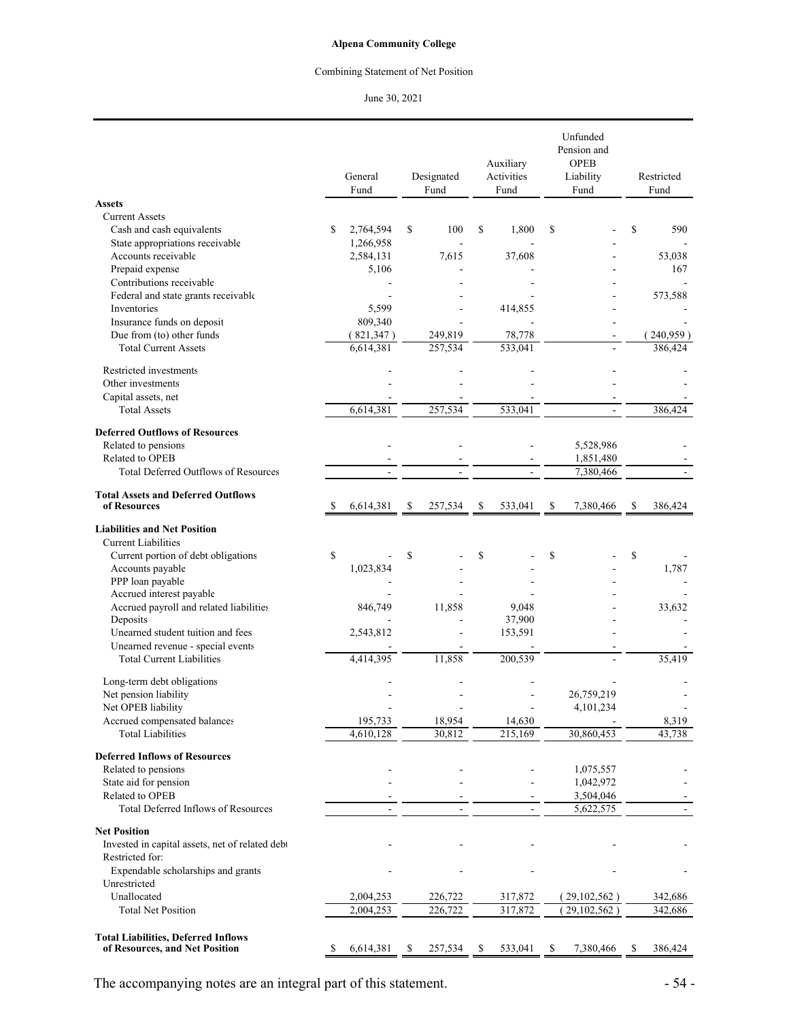# **Alpena Community College**

### Combining Statement of Net Position

June 30, 2021

|                                                                              | General<br>Fund      |    | Designated<br>Fund |    | Auxiliary<br>Activities<br>Fund |    | Unfunded<br>Pension and<br><b>OPEB</b><br>Liability<br>Fund |    | Restricted<br>Fund       |
|------------------------------------------------------------------------------|----------------------|----|--------------------|----|---------------------------------|----|-------------------------------------------------------------|----|--------------------------|
| <b>Assets</b>                                                                |                      |    |                    |    |                                 |    |                                                             |    |                          |
| <b>Current Assets</b>                                                        |                      |    |                    |    |                                 |    |                                                             |    |                          |
| Cash and cash equivalents                                                    | \$<br>2,764,594      | \$ | 100                | S  | 1,800                           | \$ |                                                             | \$ | 590                      |
| State appropriations receivable                                              | 1,266,958            |    |                    |    |                                 |    |                                                             |    |                          |
| Accounts receivable                                                          | 2,584,131            |    | 7,615              |    | 37,608                          |    |                                                             |    | 53,038                   |
| Prepaid expense                                                              | 5,106                |    |                    |    |                                 |    |                                                             |    | 167                      |
| Contributions receivable                                                     |                      |    |                    |    |                                 |    |                                                             |    |                          |
| Federal and state grants receivable                                          |                      |    |                    |    |                                 |    |                                                             |    | 573,588                  |
| Inventories                                                                  | 5,599                |    |                    |    | 414,855                         |    |                                                             |    |                          |
| Insurance funds on deposit                                                   | 809,340              |    |                    |    |                                 |    |                                                             |    |                          |
| Due from (to) other funds                                                    | (821, 347)           |    | 249,819            |    | 78,778                          |    |                                                             |    | (240,959)                |
| <b>Total Current Assets</b>                                                  | 6,614,381            |    | 257,534            |    | 533,041                         |    |                                                             |    | 386,424                  |
| Restricted investments                                                       |                      |    |                    |    |                                 |    |                                                             |    |                          |
| Other investments                                                            |                      |    |                    |    |                                 |    |                                                             |    |                          |
| Capital assets, net                                                          |                      |    |                    |    |                                 |    |                                                             |    |                          |
| <b>Total Assets</b>                                                          | 6,614,381            |    | 257,534            |    | 533,041                         |    |                                                             |    | 386,424                  |
|                                                                              |                      |    |                    |    |                                 |    |                                                             |    |                          |
| <b>Deferred Outflows of Resources</b>                                        |                      |    |                    |    |                                 |    |                                                             |    |                          |
| Related to pensions<br>Related to OPEB                                       |                      |    |                    |    |                                 |    | 5,528,986                                                   |    |                          |
| <b>Total Deferred Outflows of Resources</b>                                  |                      |    |                    |    |                                 |    | 1,851,480                                                   |    |                          |
|                                                                              |                      |    |                    |    |                                 |    | 7,380,466                                                   |    |                          |
| <b>Total Assets and Deferred Outflows</b><br>of Resources                    | 6,614,381            | S  | 257,534            | S  | 533,041                         | S  | 7,380,466                                                   | S  | 386,424                  |
| <b>Liabilities and Net Position</b><br><b>Current Liabilities</b>            |                      |    |                    |    |                                 |    |                                                             |    |                          |
| Current portion of debt obligations                                          | \$                   | \$ |                    | \$ |                                 | \$ |                                                             | \$ |                          |
| Accounts payable                                                             | 1,023,834            |    |                    |    |                                 |    |                                                             |    | 1,787                    |
| PPP loan payable                                                             |                      |    |                    |    |                                 |    |                                                             |    |                          |
| Accrued interest payable<br>Accrued payroll and related liabilities          | 846,749              |    | 11,858             |    | 9,048                           |    |                                                             |    | 33,632                   |
| Deposits                                                                     |                      |    |                    |    | 37,900                          |    |                                                             |    |                          |
| Unearned student tuition and fees                                            | 2,543,812            |    |                    |    | 153,591                         |    |                                                             |    |                          |
| Unearned revenue - special events                                            |                      |    |                    |    |                                 |    |                                                             |    |                          |
| <b>Total Current Liabilities</b>                                             | 4,414,395            |    | 11,858             |    | 200,539                         |    |                                                             |    | 35,419                   |
|                                                                              |                      |    |                    |    |                                 |    |                                                             |    |                          |
| Long-term debt obligations                                                   |                      |    |                    |    |                                 |    |                                                             |    |                          |
| Net pension liability                                                        |                      |    |                    |    |                                 |    | 26,759,219                                                  |    |                          |
| Net OPEB liability                                                           |                      |    |                    |    |                                 |    | 4,101,234                                                   |    |                          |
| Accrued compensated balances<br><b>Total Liabilities</b>                     | 195,733<br>4,610,128 |    | 18,954<br>30,812   |    | 14,630<br>215,169               |    | 30,860,453                                                  |    | 8,319<br>43.738          |
|                                                                              |                      |    |                    |    |                                 |    |                                                             |    |                          |
| <b>Deferred Inflows of Resources</b>                                         |                      |    |                    |    |                                 |    |                                                             |    |                          |
| Related to pensions                                                          |                      |    |                    |    |                                 |    | 1,075,557                                                   |    |                          |
| State aid for pension                                                        |                      |    |                    |    |                                 |    | 1,042,972                                                   |    |                          |
| Related to OPEB                                                              |                      |    |                    |    |                                 |    | 3,504,046                                                   |    |                          |
| Total Deferred Inflows of Resources                                          |                      |    |                    |    |                                 |    | 5,622,575                                                   |    | $\overline{\phantom{a}}$ |
| <b>Net Position</b>                                                          |                      |    |                    |    |                                 |    |                                                             |    |                          |
| Invested in capital assets, net of related debt                              |                      |    |                    |    |                                 |    |                                                             |    |                          |
| Restricted for:                                                              |                      |    |                    |    |                                 |    |                                                             |    |                          |
| Expendable scholarships and grants                                           |                      |    |                    |    |                                 |    |                                                             |    |                          |
| Unrestricted                                                                 |                      |    |                    |    |                                 |    |                                                             |    |                          |
| Unallocated                                                                  | 2,004,253            |    | 226,722            |    | 317,872                         |    | (29,102,562)                                                |    | 342,686                  |
| <b>Total Net Position</b>                                                    | 2,004,253            |    | 226,722            |    | 317,872                         |    | (29, 102, 562)                                              |    | 342,686                  |
|                                                                              |                      |    |                    |    |                                 |    |                                                             |    |                          |
| <b>Total Liabilities, Deferred Inflows</b><br>of Resources, and Net Position | 6,614,381            | \$ | 257,534            | \$ | 533,041                         | \$ | 7,380,466                                                   | S  | 386,424                  |

The accompanying notes are an integral part of this statement. - 54 -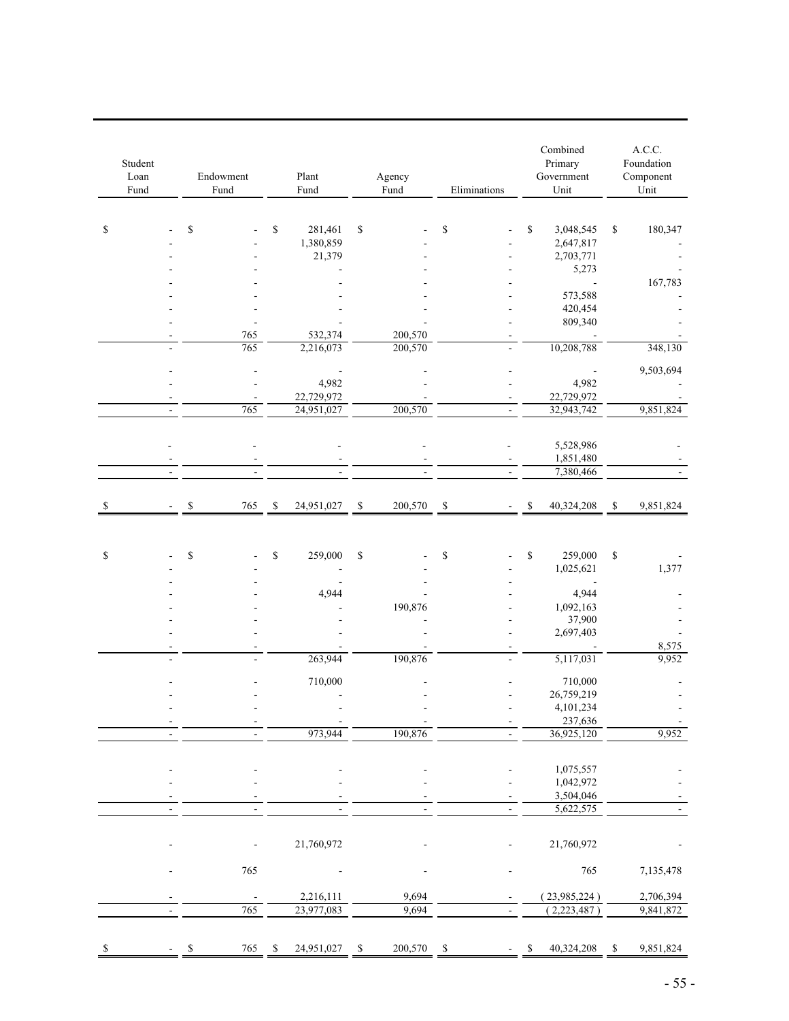| Student<br>Loan<br>Fund |              | Endowment<br>Fund | Plant<br>Fund    | Agency<br>Fund |         | Eliminations |                          | Combined<br>Primary<br>Government<br>Unit |              | A.C.C.<br>Foundation<br>Component<br>Unit |
|-------------------------|--------------|-------------------|------------------|----------------|---------|--------------|--------------------------|-------------------------------------------|--------------|-------------------------------------------|
| \$                      | \$           |                   | \$<br>281,461    | \$             |         | \$           | \$                       | 3,048,545                                 | \$           | 180,347                                   |
|                         |              |                   | 1,380,859        |                |         |              |                          | 2,647,817                                 |              |                                           |
|                         |              |                   | 21,379           |                |         |              |                          | 2,703,771                                 |              |                                           |
|                         |              |                   |                  |                |         |              |                          | 5,273                                     |              |                                           |
|                         |              |                   |                  |                |         |              |                          | ÷,                                        |              | 167,783                                   |
|                         |              |                   |                  |                |         |              |                          | 573,588                                   |              |                                           |
|                         |              |                   |                  |                |         |              |                          | 420,454                                   |              |                                           |
|                         |              |                   |                  |                |         |              |                          | 809,340                                   |              |                                           |
|                         |              | 765               | 532,374          |                | 200,570 |              |                          |                                           |              |                                           |
|                         |              | 765               | 2,216,073        |                | 200,570 |              |                          | 10,208,788                                |              | 348,130                                   |
|                         |              |                   |                  |                |         |              |                          |                                           |              | 9,503,694                                 |
|                         |              |                   | 4,982            |                |         |              |                          | 4,982                                     |              |                                           |
|                         |              |                   | 22,729,972       |                |         |              |                          | 22,729,972                                |              |                                           |
|                         |              | 765               | 24,951,027       |                | 200,570 |              |                          | 32,943,742                                |              | 9,851,824                                 |
|                         |              |                   |                  |                |         |              |                          |                                           |              |                                           |
|                         |              |                   |                  |                | Ē,      |              |                          | 5,528,986                                 |              |                                           |
|                         |              |                   |                  |                |         |              |                          | 1,851,480                                 |              |                                           |
|                         |              |                   |                  |                |         |              | ٠                        | 7,380,466                                 |              |                                           |
|                         | $\mathbb{S}$ | 765               | 24,951,027       |                | 200,570 | $\mathbb{S}$ | \$                       | 40,324,208                                |              | 9,851,824                                 |
| \$                      |              |                   | \$               | \$             |         |              | $\overline{\phantom{a}}$ |                                           | \$           |                                           |
|                         |              |                   |                  |                |         |              |                          |                                           |              |                                           |
| \$                      | \$           |                   | \$<br>259,000    | \$             |         | \$           | \$                       | 259,000                                   | \$           |                                           |
|                         |              |                   |                  |                |         |              |                          | 1,025,621                                 |              | 1,377                                     |
|                         |              |                   |                  |                |         |              |                          | ÷                                         |              |                                           |
|                         |              |                   | 4,944            |                |         |              |                          | 4,944                                     |              |                                           |
|                         |              |                   |                  |                | 190,876 |              |                          | 1,092,163                                 |              |                                           |
|                         |              |                   |                  |                |         |              |                          | 37,900                                    |              |                                           |
|                         |              |                   |                  |                |         |              |                          | 2,697,403                                 |              |                                           |
|                         |              |                   | 263,944          |                | 190,876 |              |                          | 5,117,031                                 |              | 8,575<br>9,952                            |
|                         |              |                   |                  |                |         |              |                          |                                           |              |                                           |
|                         |              |                   | 710,000          |                |         |              |                          | 710,000                                   |              |                                           |
|                         |              |                   |                  |                |         |              |                          | 26,759,219                                |              |                                           |
|                         |              |                   |                  |                |         |              |                          | 4,101,234                                 |              |                                           |
|                         |              |                   | 973,944          |                | 190,876 |              |                          | 237,636<br>36,925,120                     |              | 9,952                                     |
|                         |              |                   |                  |                |         |              |                          |                                           |              |                                           |
|                         |              |                   |                  |                |         |              |                          |                                           |              |                                           |
|                         |              |                   |                  |                |         |              |                          | 1,075,557                                 |              |                                           |
|                         |              |                   |                  |                |         |              |                          | 1,042,972                                 |              |                                           |
|                         |              |                   |                  |                |         |              |                          | 3,504,046<br>5,622,575                    |              |                                           |
|                         |              |                   |                  |                |         |              |                          |                                           |              |                                           |
|                         |              |                   | 21,760,972       |                |         |              |                          | 21,760,972                                |              |                                           |
|                         |              |                   |                  |                |         |              |                          |                                           |              |                                           |
|                         |              | 765               |                  |                |         |              |                          | 765                                       |              | 7,135,478                                 |
|                         |              |                   | 2,216,111        |                | 9,694   |              |                          | (23,985,224)                              |              | 2,706,394                                 |
|                         |              | 765               | 23,977,083       |                | 9,694   |              | ÷,                       | (2,223,487)                               |              | 9,841,872                                 |
|                         |              |                   |                  |                |         |              |                          |                                           |              |                                           |
|                         |              |                   |                  |                |         |              |                          |                                           |              |                                           |
| \$                      | $\mathbb S$  | 765               | \$<br>24,951,027 | -S             | 200,570 | $\mathbb{S}$ | $\mathbb{S}$             | 40,324,208                                | $\mathbf{s}$ | 9,851,824                                 |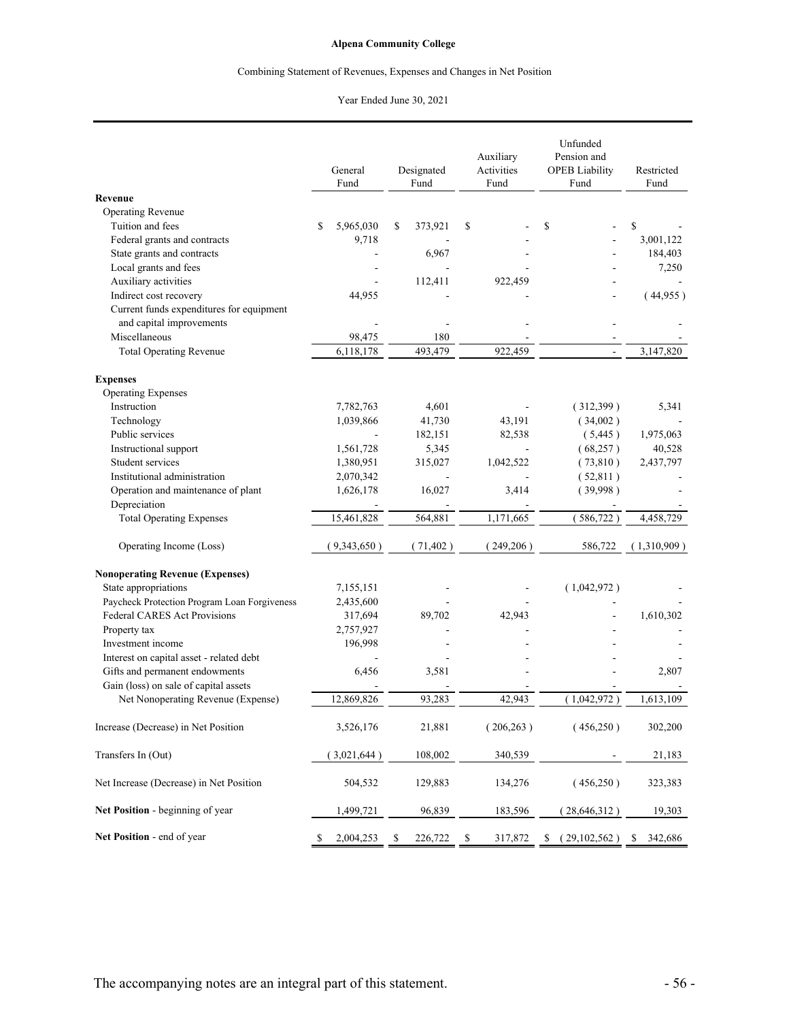#### **Alpena Community College**

### Combining Statement of Revenues, Expenses and Changes in Net Position

#### Year Ended June 30, 2021

|                                              | General<br>Fund | Designated<br>Fund | Auxiliary<br>Activities<br>Fund | Unfunded<br>Pension and<br><b>OPEB</b> Liability<br>Fund | Restricted<br>Fund |
|----------------------------------------------|-----------------|--------------------|---------------------------------|----------------------------------------------------------|--------------------|
| Revenue                                      |                 |                    |                                 |                                                          |                    |
| <b>Operating Revenue</b>                     |                 |                    |                                 |                                                          |                    |
| Tuition and fees                             | \$<br>5,965,030 | \$<br>373,921      | \$                              | \$                                                       | \$                 |
| Federal grants and contracts                 | 9,718           |                    |                                 |                                                          | 3,001,122          |
| State grants and contracts                   |                 | 6,967              |                                 |                                                          | 184,403            |
| Local grants and fees                        |                 |                    |                                 |                                                          | 7,250              |
| Auxiliary activities                         |                 | 112,411            | 922,459                         |                                                          |                    |
| Indirect cost recovery                       | 44,955          |                    |                                 |                                                          | (44,955)           |
| Current funds expenditures for equipment     |                 |                    |                                 |                                                          |                    |
| and capital improvements                     |                 |                    |                                 |                                                          |                    |
| Miscellaneous                                | 98,475          | 180                |                                 |                                                          |                    |
| <b>Total Operating Revenue</b>               | 6,118,178       | 493,479            | 922,459                         | $\overline{\phantom{a}}$                                 | 3,147,820          |
| <b>Expenses</b>                              |                 |                    |                                 |                                                          |                    |
| <b>Operating Expenses</b>                    |                 |                    |                                 |                                                          |                    |
| Instruction                                  | 7,782,763       | 4,601              |                                 | (312,399)                                                | 5,341              |
| Technology                                   | 1,039,866       | 41,730             | 43,191                          | (34,002)                                                 |                    |
| Public services                              |                 | 182,151            | 82,538                          | (5,445)                                                  | 1,975,063          |
| Instructional support                        | 1,561,728       | 5,345              |                                 | (68, 257)                                                | 40,528             |
| Student services                             | 1,380,951       | 315,027            | 1,042,522                       | (73,810)                                                 | 2,437,797          |
| Institutional administration                 | 2,070,342       |                    |                                 | (52, 811)                                                |                    |
| Operation and maintenance of plant           | 1,626,178       | 16,027             | 3,414                           | (39,998)                                                 |                    |
| Depreciation                                 |                 |                    |                                 |                                                          |                    |
| <b>Total Operating Expenses</b>              | 15,461,828      | 564,881            | 1,171,665                       | (586, 722)                                               | 4,458,729          |
| Operating Income (Loss)                      | (9,343,650)     | (71, 402)          | (249, 206)                      | 586,722                                                  | (1,310,909)        |
| <b>Nonoperating Revenue (Expenses)</b>       |                 |                    |                                 |                                                          |                    |
| State appropriations                         | 7,155,151       |                    |                                 | (1,042,972)                                              |                    |
| Paycheck Protection Program Loan Forgiveness | 2,435,600       |                    |                                 |                                                          |                    |
| Federal CARES Act Provisions                 | 317,694         | 89,702             | 42,943                          |                                                          | 1,610,302          |
| Property tax                                 | 2,757,927       |                    |                                 |                                                          |                    |
| Investment income                            | 196,998         |                    |                                 |                                                          |                    |
| Interest on capital asset - related debt     |                 |                    |                                 |                                                          |                    |
| Gifts and permanent endowments               | 6,456           | 3,581              |                                 |                                                          | 2,807              |
| Gain (loss) on sale of capital assets        |                 |                    |                                 |                                                          |                    |
| Net Nonoperating Revenue (Expense)           | 12,869,826      | 93,283             | 42,943                          | (1,042,972)                                              | 1,613,109          |
| Increase (Decrease) in Net Position          | 3,526,176       | 21,881             | (206, 263)                      | (456, 250)                                               | 302,200            |
| Transfers In (Out)                           | (3,021,644)     | 108,002            | 340,539                         |                                                          | 21,183             |
| Net Increase (Decrease) in Net Position      | 504,532         | 129,883            | 134,276                         | (456,250)                                                | 323,383            |
| Net Position - beginning of year             | 1,499,721       | 96,839             | 183,596                         | (28, 646, 312)                                           | 19,303             |
| Net Position - end of year                   | \$<br>2,004,253 | \$<br>226,722      | \$<br>317,872                   | \$<br>(29,102,562)                                       | 342,686<br>\$      |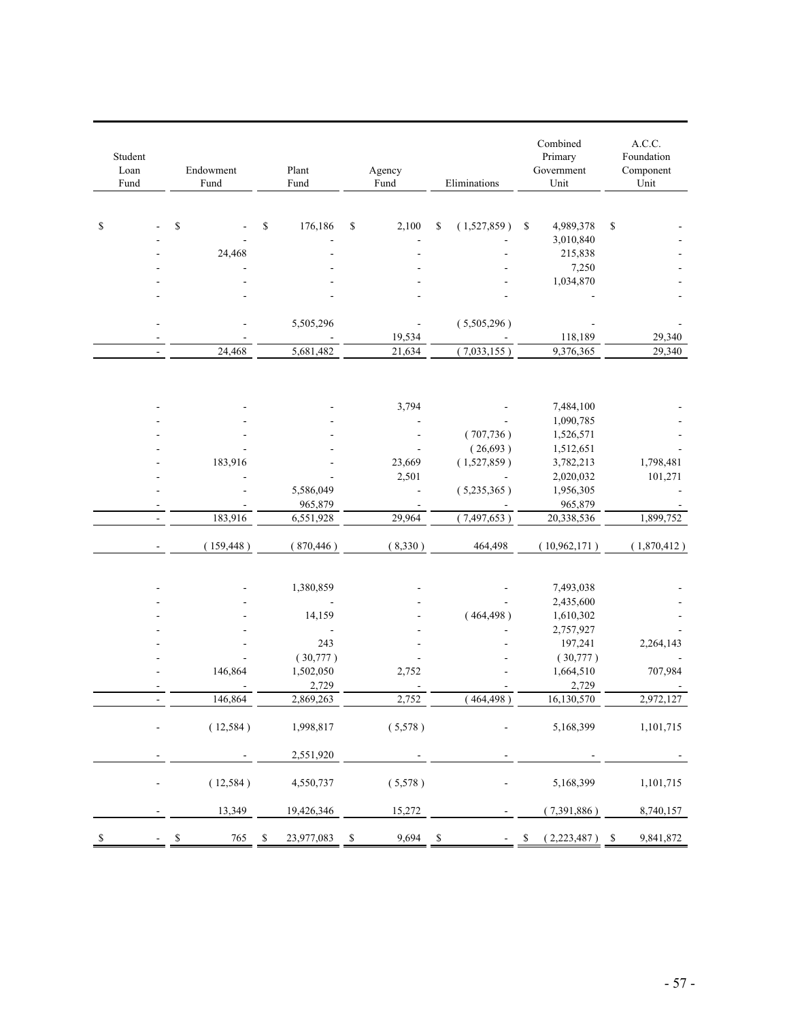| Student<br>Loan<br>Fund  | Endowment<br>Fund | Plant<br>Fund    | Agency<br>Fund | Eliminations      | Combined<br>Primary<br>Government<br>Unit | A.C.C.<br>Foundation<br>Component<br>Unit |
|--------------------------|-------------------|------------------|----------------|-------------------|-------------------------------------------|-------------------------------------------|
| \$                       | $\mathbb S$       | \$<br>176,186    | \$<br>2,100    | \$<br>(1,527,859) | \$<br>4,989,378                           | \$                                        |
|                          |                   |                  |                |                   | 3,010,840                                 |                                           |
|                          | 24,468            |                  |                |                   | 215,838                                   |                                           |
|                          |                   |                  |                |                   | 7,250                                     |                                           |
|                          |                   |                  |                |                   | 1,034,870                                 |                                           |
|                          |                   |                  |                |                   |                                           |                                           |
|                          |                   | 5,505,296        |                | (5,505,296)       |                                           |                                           |
|                          |                   |                  | 19,534         |                   | 118,189                                   | 29,340                                    |
|                          | 24,468            | 5,681,482        | 21,634         | (7,033,155)       | 9,376,365                                 | 29,340                                    |
|                          |                   |                  |                |                   |                                           |                                           |
|                          |                   |                  | 3,794          |                   | 7,484,100                                 |                                           |
|                          |                   |                  |                |                   | 1,090,785                                 |                                           |
|                          |                   |                  |                | (707, 736)        | 1,526,571                                 |                                           |
|                          |                   |                  |                | (26, 693)         | 1,512,651                                 |                                           |
|                          | 183,916           |                  | 23,669         | (1,527,859)       | 3,782,213                                 | 1,798,481                                 |
|                          |                   |                  | 2,501          |                   | 2,020,032                                 | 101,271                                   |
|                          |                   | 5,586,049        |                | (5,235,365)       | 1,956,305                                 |                                           |
|                          |                   | 965,879          |                |                   | 965,879                                   |                                           |
| $\overline{\phantom{a}}$ | 183,916           | 6,551,928        | 29,964         | (7,497,653)       | 20,338,536                                | 1,899,752                                 |
|                          | (159, 448)        | (870, 446)       | (8,330)        | 464,498           | (10,962,171)                              | (1,870,412)                               |
|                          |                   |                  |                |                   |                                           |                                           |
|                          |                   | 1,380,859        |                |                   | 7,493,038                                 |                                           |
|                          |                   |                  |                |                   | 2,435,600                                 |                                           |
|                          |                   | 14,159           |                | (464, 498)        | 1,610,302                                 |                                           |
|                          |                   |                  |                |                   | 2,757,927<br>197,241                      |                                           |
|                          |                   | 243<br>(30,777)  |                |                   | (30,777)                                  | 2,264,143                                 |
|                          | 146,864           | 1,502,050        | 2,752          |                   | 1,664,510                                 | 707,984                                   |
|                          |                   | 2,729            |                |                   | 2,729                                     |                                           |
|                          | 146,864           | 2,869,263        | 2,752          | (464, 498)        | 16,130,570                                | 2,972,127                                 |
|                          | (12,584)          | 1,998,817        | (5,578)        |                   | 5,168,399                                 | 1,101,715                                 |
|                          |                   | 2,551,920        |                |                   |                                           |                                           |
|                          | (12, 584)         | 4,550,737        | (5,578)        |                   | 5,168,399                                 | 1,101,715                                 |
|                          | 13,349            | 19,426,346       | 15,272         |                   | (7,391,886)                               | 8,740,157                                 |
|                          | 765<br>\$         | 23,977,083<br>\$ | 9,694<br>\$    | \$                | $(2,223,487)$ \$<br>$-$ \$                | 9,841,872                                 |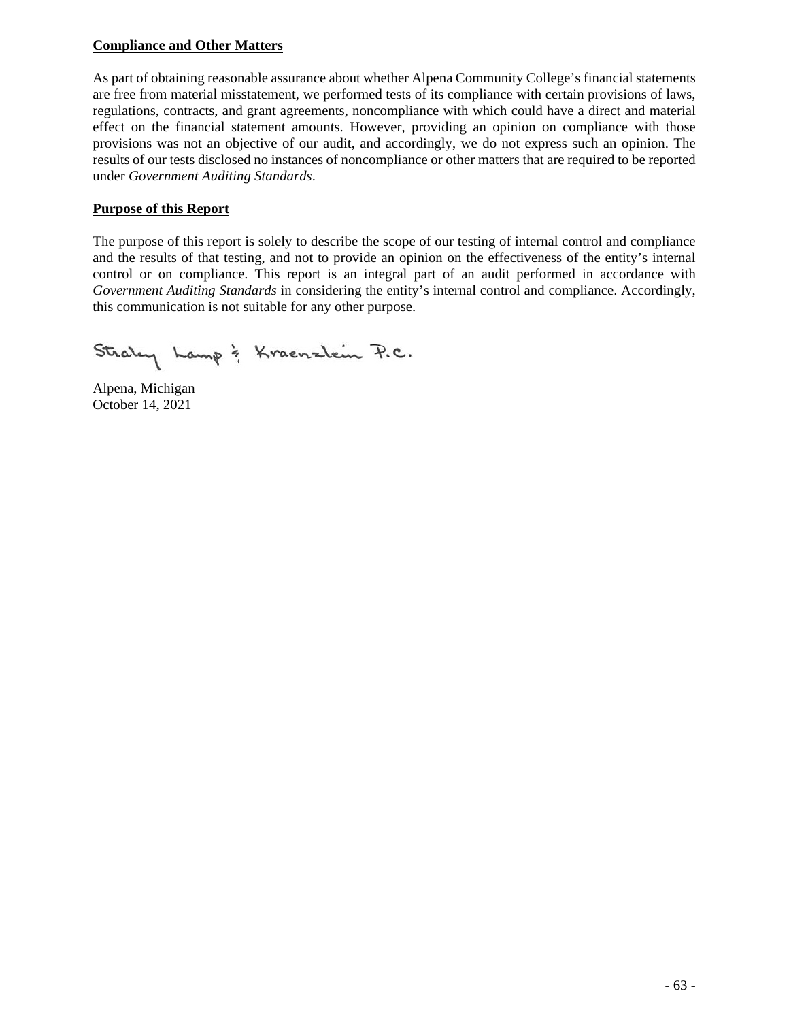# **Notes to Financial Statements**

# Note 4. Pension and Other Postemployment Benefit (OPEB) Plans.

### **Industry Information and Significant Accounting Policies.**

### Michigan Public School Employees' Retirement System.

**Plan Description.** The College participates in the Michigan Public School Employees' Retirement System (MPSERS or System), a statewide, cost-sharing, multiple-employer defined benefit public employee retirement system governed by the State of Michigan that covers substantially all non-exempt employees of the College and 62.7% of exempt employees. Exempt employees may choose an optional retirement plan managed by the Teachers Insurance Annuity Association (TIAA). The System provides retirement, survivor, and disability benefits to plan members and their beneficiaries. The System also provides postemployment health care benefits to retirees and beneficiaries who elect to receive those benefits.

The Michigan Public School Employees' Retirement System issues a publicly available financial report that includes financial statements and required supplementary information for the pension and postemployment health care plans. That report is available on the web at http://www.michigan.gov/orsschools, or by writing to the Office of Retirement System (ORS) at 530 West Allegan Street, P.O. Box 30171, Lansing, MI 48909.

**Contributions.** Public Act 300 of 1980, as amended, required the College to contribute amounts necessary to finance the coverage of pension and OPEB benefits of active and retired members. Contribution provisions are specified by State statute and may be amended only by action of the State Legislature. Under these provisions, each College's contribution is expected to finance the costs of benefits earned by employees during the year, with an additional amount to finance a portion of the unfunded accrued liability.

The College's contributions are determined based on employee elections. There are a number of different benefit options included in the plan available to employees based on date of hire. Contribution rates are adjusted annually by the ORS. The range of rates are as follows:

|                                      | Pension         | <b>OPEB</b>       |
|--------------------------------------|-----------------|-------------------|
| July 1, 2013 – September 30, 2013    | 12.78% - 15.21% | $8.18\% - 9.11\%$ |
| October 1, 2013 – September 30, 2014 | 15.44% - 18.34% | $5.52\% - 6.45\%$ |
| October 1, 2014 – September 30, 2015 | 18.76% - 23.07% | $2.71\% - 2.20\%$ |
| October 1, 2015 – September 30, 2016 | 14.56% - 18.95% | $6.40\% - 6.83\%$ |
| October 1, 2016 – September 30, 2017 | 15.27% - 19.03% | 5.69% - 5.91%     |
| October 1, 2017 – September 30, 2018 | 16.14% - 20.49% | $4.82\% - 5.07\%$ |
| October 1, 2018 – September 30, 2019 | 16.39% - 20.59% | 7.57% - 7.93%     |
| October 1, 2019 – September 30, 2020 | 16.39% - 20.59% | 7.57% - 8.09%     |
| October 1, 2020 – June 30, 2021      | 16.39% - 20.59% | 7.57% - 8.43%     |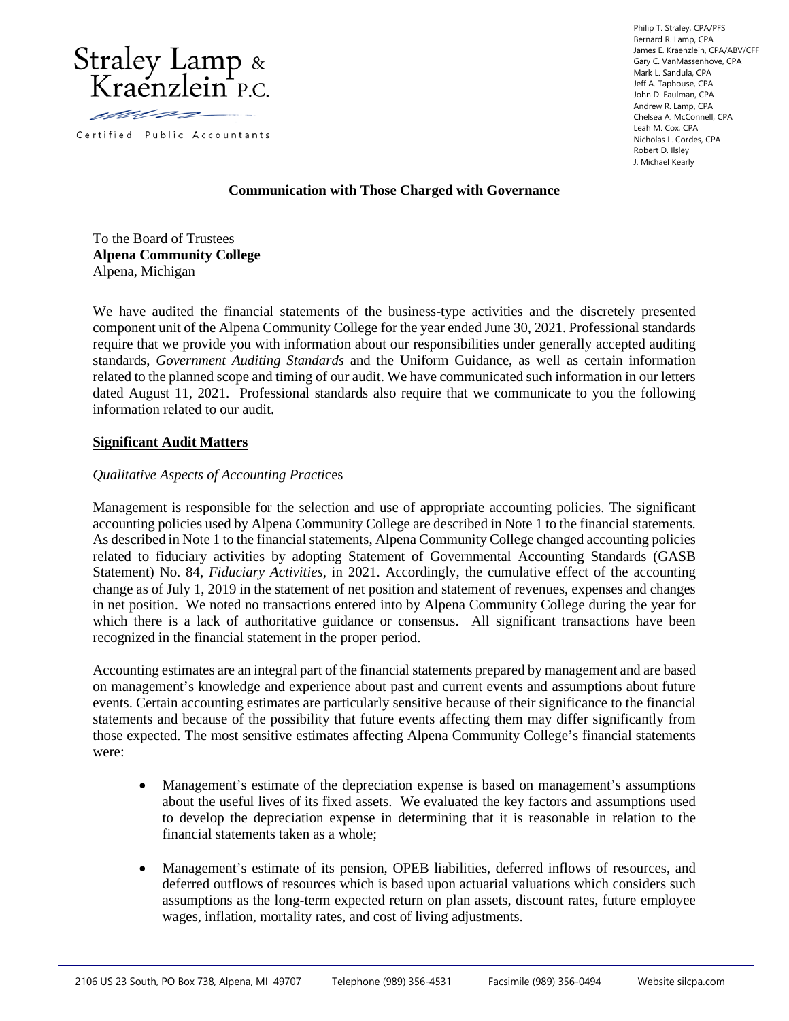

Philip T. Straley, CPA/PFS Bernard R. Lamp, CPA James E. Kraenzlein, CPA/ABV/CFF Gary C. VanMassenhove, CPA Mark L. Sandula, CPA Jeff A. Taphouse, CPA John D. Faulman, CPA Andrew R. Lamp, CPA Chelsea A. McConnell, CPA Leah M. Cox, CPA Nicholas L. Cordes, CPA Robert D. Ilsley J. Michael Kearly

# **Communication with Those Charged with Governance**

 To the Board of Trustees **Alpena Community College**  Alpena, Michigan

 We have audited the financial statements of the business-type activities and the discretely presented component unit of the Alpena Community College for the year ended June 30, 2021. Professional standards related to the planned scope and timing of our audit. We have communicated such information in our letters dated August 11, 2021. Professional standards also require that we communicate to you the following require that we provide you with information about our responsibilities under generally accepted auditing standards, *Government Auditing Standards* and the Uniform Guidance, as well as certain information information related to our audit.

### **Significant Audit Matters**

### *Qualitative Aspects of Accounting Practi*ces

 accounting policies used by Alpena Community College are described in Note 1 to the financial statements. Statement) No. 84, *Fiduciary Activities*, in 2021. Accordingly, the cumulative effect of the accounting in net position. We noted no transactions entered into by Alpena Community College during the year for Management is responsible for the selection and use of appropriate accounting policies. The significant As described in Note 1 to the financial statements, Alpena Community College changed accounting policies related to fiduciary activities by adopting Statement of Governmental Accounting Standards (GASB change as of July 1, 2019 in the statement of net position and statement of revenues, expenses and changes which there is a lack of authoritative guidance or consensus. All significant transactions have been recognized in the financial statement in the proper period.

 Accounting estimates are an integral part of the financial statements prepared by management and are based events. Certain accounting estimates are particularly sensitive because of their significance to the financial statements and because of the possibility that future events affecting them may differ significantly from on management's knowledge and experience about past and current events and assumptions about future those expected. The most sensitive estimates affecting Alpena Community College's financial statements were:

- about the useful lives of its fixed assets. We evaluated the key factors and assumptions used to develop the depreciation expense in determining that it is reasonable in relation to the • Management's estimate of the depreciation expense is based on management's assumptions financial statements taken as a whole;
- deferred outflows of resources which is based upon actuarial valuations which considers such • Management's estimate of its pension, OPEB liabilities, deferred inflows of resources, and assumptions as the long-term expected return on plan assets, discount rates, future employee wages, inflation, mortality rates, and cost of living adjustments.